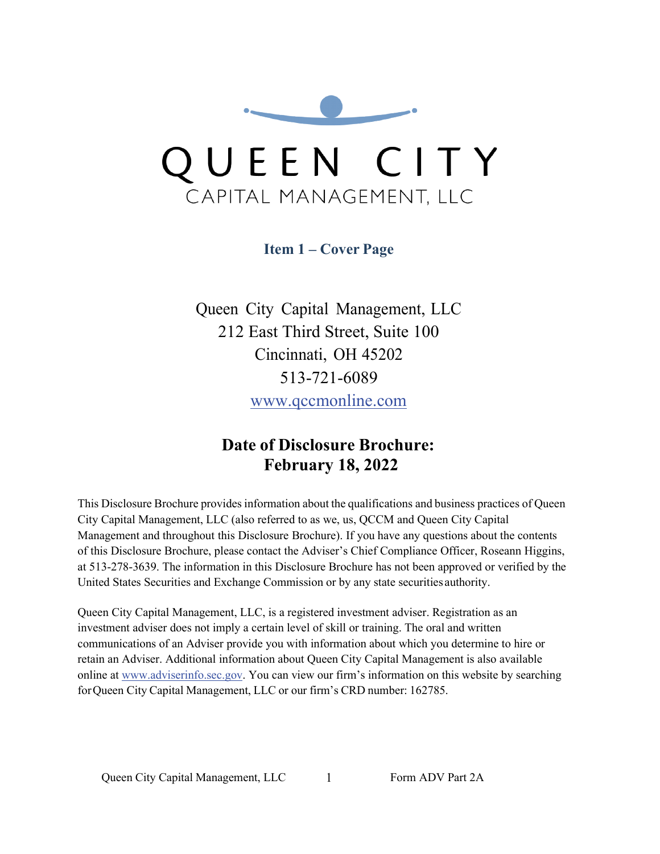<span id="page-0-1"></span>

**Item 1 – Cover Page**

<span id="page-0-0"></span>Queen City Capital Management, LLC 212 East Third Street, Suite 100 Cincinnati, OH 45202 513-721-6089 [www.qccmonline.com](http://www.qccmonline.com/)

# **Date of Disclosure Brochure: February 18, 2022**

This Disclosure Brochure provides information about the qualifications and business practices of Queen City Capital Management, LLC (also referred to as we, us, QCCM and Queen City Capital Management and throughout this Disclosure Brochure). If you have any questions about the contents of this Disclosure Brochure, please contact the Adviser's Chief Compliance Officer, Roseann Higgins, at 513-278-3639. The information in this Disclosure Brochure has not been approved or verified by the United States Securities and Exchange Commission or by any state securities authority.

Queen City Capital Management, LLC, is a registered investment adviser. Registration as an investment adviser does not imply a certain level of skill or training. The oral and written communications of an Adviser provide you with information about which you determine to hire or retain an Adviser. Additional information about Queen City Capital Management is also available online at [www.adviserinfo.sec.gov.](http://www.adviserinfo.sec.gov/) You can view our firm's information on this website by searching forQueen City Capital Management, LLC or our firm's CRD number: 162785.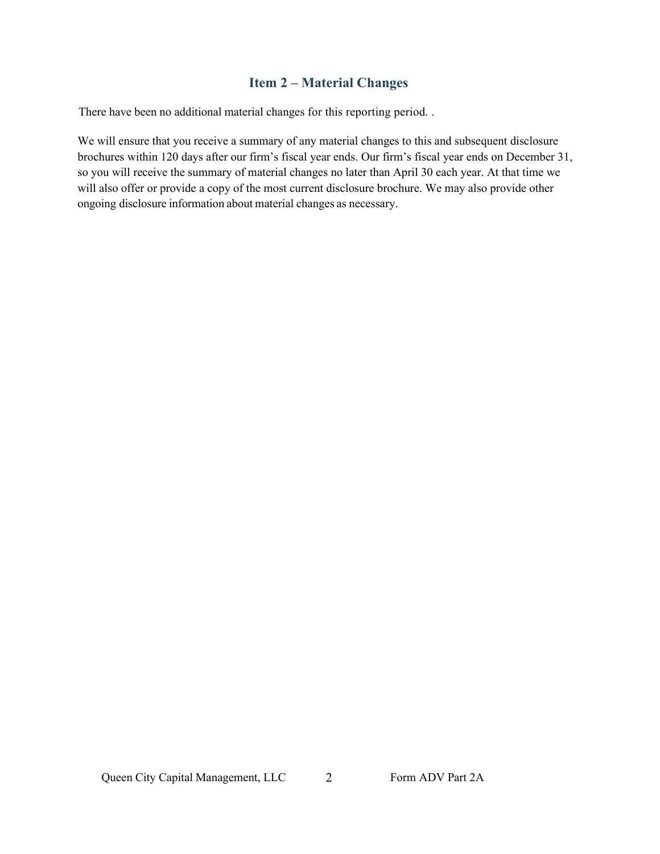# **Item 2 – Material Changes**

There have been no additional material changes for this reporting period. .

We will ensure that you receive a summary of any material changes to this and subsequent disclosure brochures within 120 days after our firm's fiscal year ends. Our firm's fiscal year ends on December 31, so you will receive the summary of material changes no later than April 30 each year. At that time we will also offer or provide a copy of the most current disclosure brochure. We may also provide other ongoing disclosure information about material changes as necessary.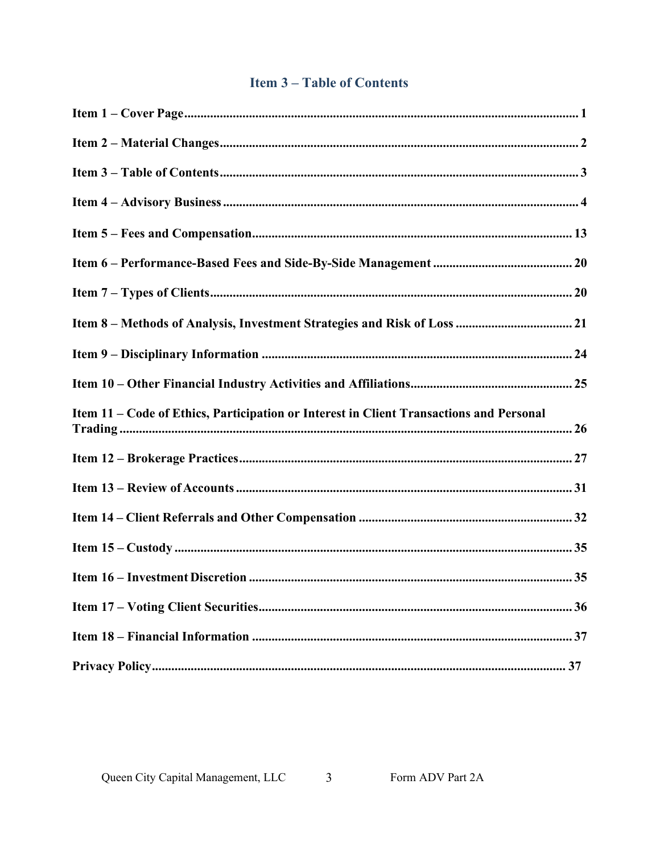# **Item 3-Table of Contents**

<span id="page-2-0"></span>

| Item 11 - Code of Ethics, Participation or Interest in Client Transactions and Personal |
|-----------------------------------------------------------------------------------------|
|                                                                                         |
|                                                                                         |
|                                                                                         |
|                                                                                         |
|                                                                                         |
|                                                                                         |
|                                                                                         |
|                                                                                         |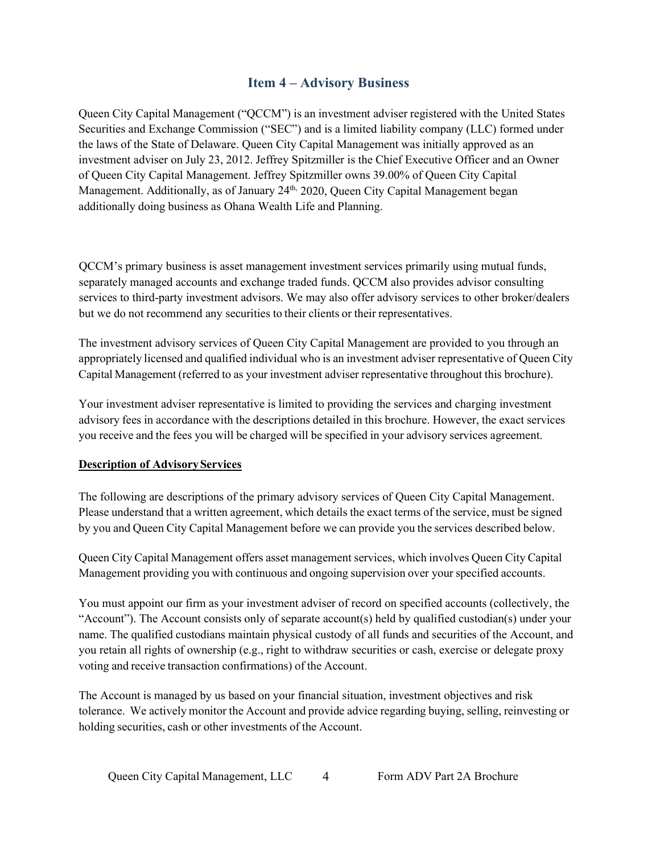# **Item 4 – Advisory Business**

<span id="page-3-0"></span>Queen City Capital Management ("QCCM") is an investment adviser registered with the United States Securities and Exchange Commission ("SEC") and is a limited liability company (LLC) formed under the laws of the State of Delaware. Queen City Capital Management was initially approved as an investment adviser on July 23, 2012. Jeffrey Spitzmiller is the Chief Executive Officer and an Owner of Queen City Capital Management. Jeffrey Spitzmiller owns 39.00% of Queen City Capital Management. Additionally, as of January 24<sup>th,</sup> 2020, Queen City Capital Management began additionally doing business as Ohana Wealth Life and Planning.

QCCM's primary business is asset management investment services primarily using mutual funds, separately managed accounts and exchange traded funds. QCCM also provides advisor consulting services to third-party investment advisors. We may also offer advisory services to other broker/dealers but we do not recommend any securities to their clients or their representatives.

The investment advisory services of Queen City Capital Management are provided to you through an appropriately licensed and qualified individual who is an investment adviser representative of Queen City Capital Management (referred to as your investment adviser representative throughout this brochure).

Your investment adviser representative is limited to providing the services and charging investment advisory fees in accordance with the descriptions detailed in this brochure. However, the exact services you receive and the fees you will be charged will be specified in your advisory services agreement.

### **Description of AdvisoryServices**

The following are descriptions of the primary advisory services of Queen City Capital Management. Please understand that a written agreement, which details the exact terms of the service, must be signed by you and Queen City Capital Management before we can provide you the services described below.

Queen City Capital Management offers asset management services, which involves Queen City Capital Management providing you with continuous and ongoing supervision over your specified accounts.

You must appoint our firm as your investment adviser of record on specified accounts (collectively, the "Account"). The Account consists only of separate account(s) held by qualified custodian(s) under your name. The qualified custodians maintain physical custody of all funds and securities of the Account, and you retain all rights of ownership (e.g., right to withdraw securities or cash, exercise or delegate proxy voting and receive transaction confirmations) of the Account.

The Account is managed by us based on your financial situation, investment objectives and risk tolerance. We actively monitor the Account and provide advice regarding buying, selling, reinvesting or holding securities, cash or other investments of the Account.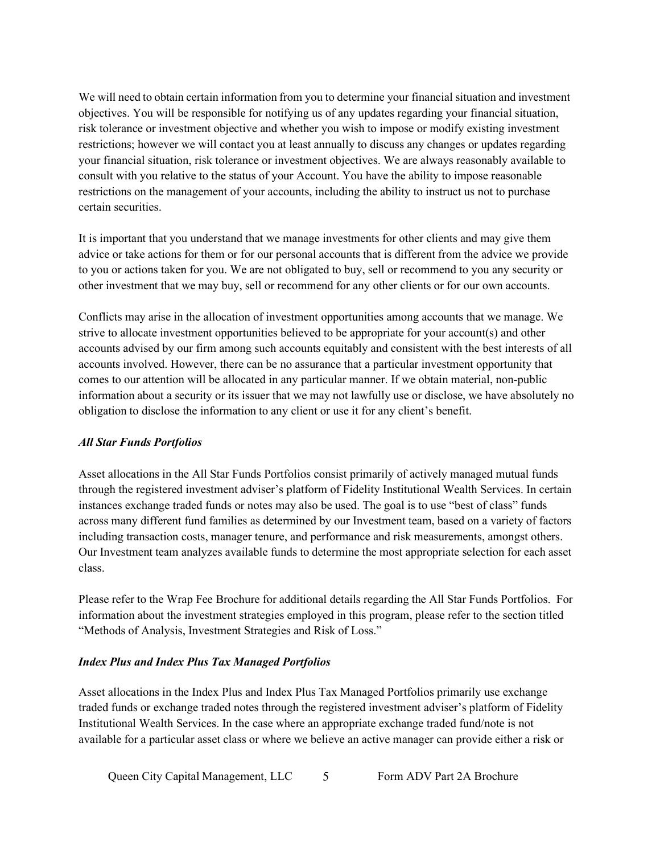We will need to obtain certain information from you to determine your financial situation and investment objectives. You will be responsible for notifying us of any updates regarding your financial situation, risk tolerance or investment objective and whether you wish to impose or modify existing investment restrictions; however we will contact you at least annually to discuss any changes or updates regarding your financial situation, risk tolerance or investment objectives. We are always reasonably available to consult with you relative to the status of your Account. You have the ability to impose reasonable restrictions on the management of your accounts, including the ability to instruct us not to purchase certain securities.

It is important that you understand that we manage investments for other clients and may give them advice or take actions for them or for our personal accounts that is different from the advice we provide to you or actions taken for you. We are not obligated to buy, sell or recommend to you any security or other investment that we may buy, sell or recommend for any other clients or for our own accounts.

Conflicts may arise in the allocation of investment opportunities among accounts that we manage. We strive to allocate investment opportunities believed to be appropriate for your account(s) and other accounts advised by our firm among such accounts equitably and consistent with the best interests of all accounts involved. However, there can be no assurance that a particular investment opportunity that comes to our attention will be allocated in any particular manner. If we obtain material, non-public information about a security or its issuer that we may not lawfully use or disclose, we have absolutely no obligation to disclose the information to any client or use it for any client's benefit.

### *All Star Funds Portfolios*

Asset allocations in the All Star Funds Portfolios consist primarily of actively managed mutual funds through the registered investment adviser's platform of Fidelity Institutional Wealth Services. In certain instances exchange traded funds or notes may also be used. The goal is to use "best of class" funds across many different fund families as determined by our Investment team, based on a variety of factors including transaction costs, manager tenure, and performance and risk measurements, amongst others. Our Investment team analyzes available funds to determine the most appropriate selection for each asset class.

Please refer to the Wrap Fee Brochure for additional details regarding the All Star Funds Portfolios. For information about the investment strategies employed in this program, please refer to the section titled "Methods of Analysis, Investment Strategies and Risk of Loss."

### *Index Plus and Index Plus Tax Managed Portfolios*

Asset allocations in the Index Plus and Index Plus Tax Managed Portfolios primarily use exchange traded funds or exchange traded notes through the registered investment adviser's platform of Fidelity Institutional Wealth Services. In the case where an appropriate exchange traded fund/note is not available for a particular asset class or where we believe an active manager can provide either a risk or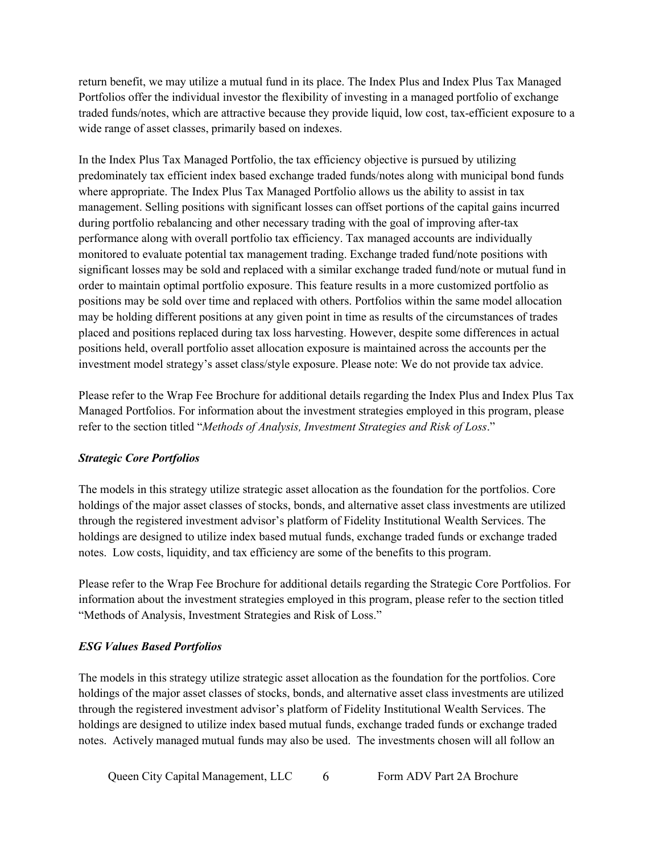return benefit, we may utilize a mutual fund in its place. The Index Plus and Index Plus Tax Managed Portfolios offer the individual investor the flexibility of investing in a managed portfolio of exchange traded funds/notes, which are attractive because they provide liquid, low cost, tax-efficient exposure to a wide range of asset classes, primarily based on indexes.

In the Index Plus Tax Managed Portfolio, the tax efficiency objective is pursued by utilizing predominately tax efficient index based exchange traded funds/notes along with municipal bond funds where appropriate. The Index Plus Tax Managed Portfolio allows us the ability to assist in tax management. Selling positions with significant losses can offset portions of the capital gains incurred during portfolio rebalancing and other necessary trading with the goal of improving after-tax performance along with overall portfolio tax efficiency. Tax managed accounts are individually monitored to evaluate potential tax management trading. Exchange traded fund/note positions with significant losses may be sold and replaced with a similar exchange traded fund/note or mutual fund in order to maintain optimal portfolio exposure. This feature results in a more customized portfolio as positions may be sold over time and replaced with others. Portfolios within the same model allocation may be holding different positions at any given point in time as results of the circumstances of trades placed and positions replaced during tax loss harvesting. However, despite some differences in actual positions held, overall portfolio asset allocation exposure is maintained across the accounts per the investment model strategy's asset class/style exposure. Please note: We do not provide tax advice.

Please refer to the Wrap Fee Brochure for additional details regarding the Index Plus and Index Plus Tax Managed Portfolios. For information about the investment strategies employed in this program, please refer to the section titled "*Methods of Analysis, Investment Strategies and Risk of Loss*."

#### *Strategic Core Portfolios*

The models in this strategy utilize strategic asset allocation as the foundation for the portfolios. Core holdings of the major asset classes of stocks, bonds, and alternative asset class investments are utilized through the registered investment advisor's platform of Fidelity Institutional Wealth Services. The holdings are designed to utilize index based mutual funds, exchange traded funds or exchange traded notes. Low costs, liquidity, and tax efficiency are some of the benefits to this program.

Please refer to the Wrap Fee Brochure for additional details regarding the Strategic Core Portfolios. For information about the investment strategies employed in this program, please refer to the section titled "Methods of Analysis, Investment Strategies and Risk of Loss."

#### *ESG Values Based Portfolios*

The models in this strategy utilize strategic asset allocation as the foundation for the portfolios. Core holdings of the major asset classes of stocks, bonds, and alternative asset class investments are utilized through the registered investment advisor's platform of Fidelity Institutional Wealth Services. The holdings are designed to utilize index based mutual funds, exchange traded funds or exchange traded notes. Actively managed mutual funds may also be used. The investments chosen will all follow an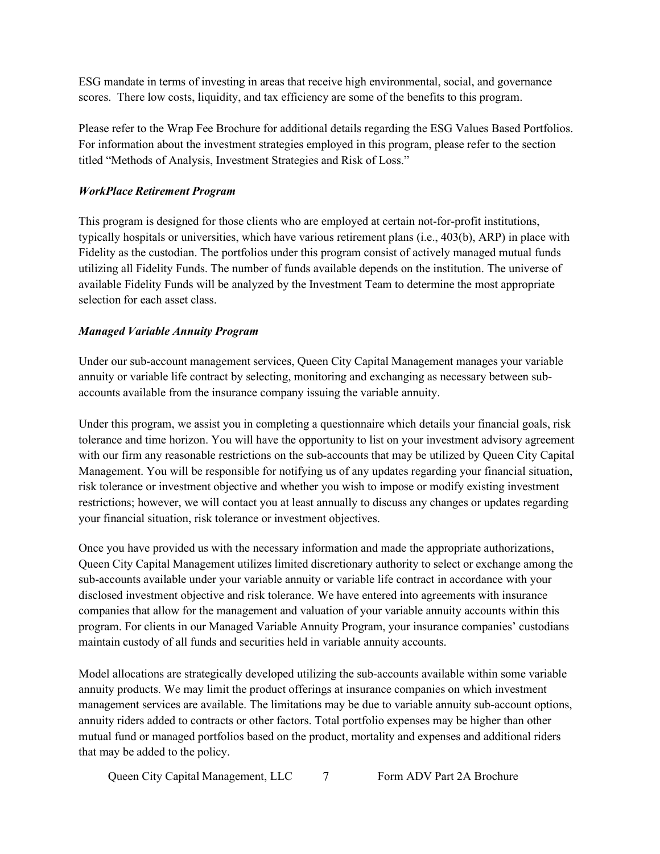ESG mandate in terms of investing in areas that receive high environmental, social, and governance scores. There low costs, liquidity, and tax efficiency are some of the benefits to this program.

Please refer to the Wrap Fee Brochure for additional details regarding the ESG Values Based Portfolios. For information about the investment strategies employed in this program, please refer to the section titled "Methods of Analysis, Investment Strategies and Risk of Loss."

#### *WorkPlace Retirement Program*

This program is designed for those clients who are employed at certain not-for-profit institutions, typically hospitals or universities, which have various retirement plans (i.e., 403(b), ARP) in place with Fidelity as the custodian. The portfolios under this program consist of actively managed mutual funds utilizing all Fidelity Funds. The number of funds available depends on the institution. The universe of available Fidelity Funds will be analyzed by the Investment Team to determine the most appropriate selection for each asset class.

### *Managed Variable Annuity Program*

Under our sub-account management services, Queen City Capital Management manages your variable annuity or variable life contract by selecting, monitoring and exchanging as necessary between subaccounts available from the insurance company issuing the variable annuity.

Under this program, we assist you in completing a questionnaire which details your financial goals, risk tolerance and time horizon. You will have the opportunity to list on your investment advisory agreement with our firm any reasonable restrictions on the sub-accounts that may be utilized by Queen City Capital Management. You will be responsible for notifying us of any updates regarding your financial situation, risk tolerance or investment objective and whether you wish to impose or modify existing investment restrictions; however, we will contact you at least annually to discuss any changes or updates regarding your financial situation, risk tolerance or investment objectives.

Once you have provided us with the necessary information and made the appropriate authorizations, Queen City Capital Management utilizes limited discretionary authority to select or exchange among the sub-accounts available under your variable annuity or variable life contract in accordance with your disclosed investment objective and risk tolerance. We have entered into agreements with insurance companies that allow for the management and valuation of your variable annuity accounts within this program. For clients in our Managed Variable Annuity Program, your insurance companies' custodians maintain custody of all funds and securities held in variable annuity accounts.

Model allocations are strategically developed utilizing the sub-accounts available within some variable annuity products. We may limit the product offerings at insurance companies on which investment management services are available. The limitations may be due to variable annuity sub-account options, annuity riders added to contracts or other factors. Total portfolio expenses may be higher than other mutual fund or managed portfolios based on the product, mortality and expenses and additional riders that may be added to the policy.

Queen City Capital Management, LLC 7 Form ADV Part 2A Brochure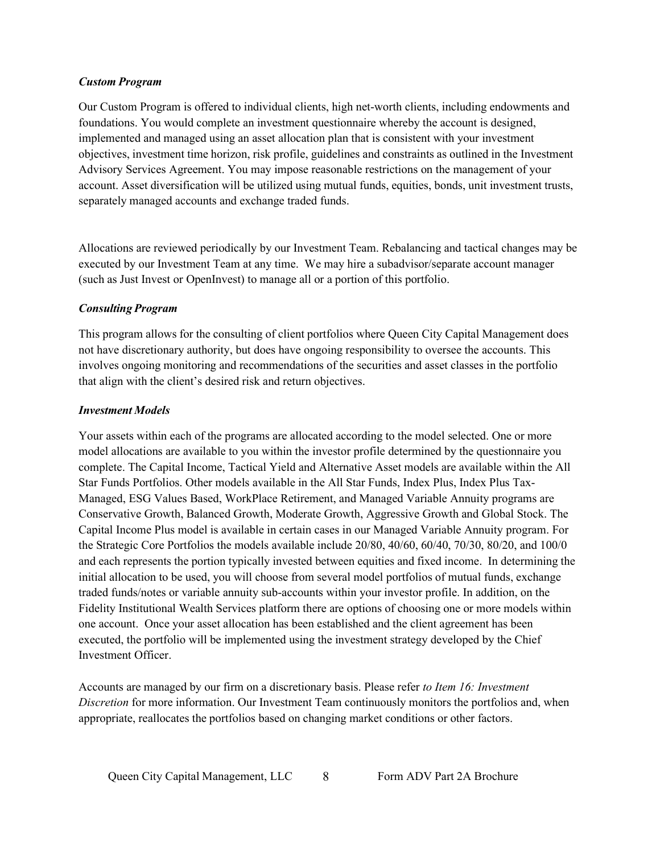#### *Custom Program*

Our Custom Program is offered to individual clients, high net-worth clients, including endowments and foundations. You would complete an investment questionnaire whereby the account is designed, implemented and managed using an asset allocation plan that is consistent with your investment objectives, investment time horizon, risk profile, guidelines and constraints as outlined in the Investment Advisory Services Agreement. You may impose reasonable restrictions on the management of your account. Asset diversification will be utilized using mutual funds, equities, bonds, unit investment trusts, separately managed accounts and exchange traded funds.

Allocations are reviewed periodically by our Investment Team. Rebalancing and tactical changes may be executed by our Investment Team at any time. We may hire a subadvisor/separate account manager (such as Just Invest or OpenInvest) to manage all or a portion of this portfolio.

### *Consulting Program*

This program allows for the consulting of client portfolios where Queen City Capital Management does not have discretionary authority, but does have ongoing responsibility to oversee the accounts. This involves ongoing monitoring and recommendations of the securities and asset classes in the portfolio that align with the client's desired risk and return objectives.

### *Investment Models*

Your assets within each of the programs are allocated according to the model selected. One or more model allocations are available to you within the investor profile determined by the questionnaire you complete. The Capital Income, Tactical Yield and Alternative Asset models are available within the All Star Funds Portfolios. Other models available in the All Star Funds, Index Plus, Index Plus Tax-Managed, ESG Values Based, WorkPlace Retirement, and Managed Variable Annuity programs are Conservative Growth, Balanced Growth, Moderate Growth, Aggressive Growth and Global Stock. The Capital Income Plus model is available in certain cases in our Managed Variable Annuity program. For the Strategic Core Portfolios the models available include 20/80, 40/60, 60/40, 70/30, 80/20, and 100/0 and each represents the portion typically invested between equities and fixed income. In determining the initial allocation to be used, you will choose from several model portfolios of mutual funds, exchange traded funds/notes or variable annuity sub-accounts within your investor profile. In addition, on the Fidelity Institutional Wealth Services platform there are options of choosing one or more models within one account. Once your asset allocation has been established and the client agreement has been executed, the portfolio will be implemented using the investment strategy developed by the Chief Investment Officer.

Accounts are managed by our firm on a discretionary basis. Please refer *to Item 16: Investment Discretion* for more information. Our Investment Team continuously monitors the portfolios and, when appropriate, reallocates the portfolios based on changing market conditions or other factors.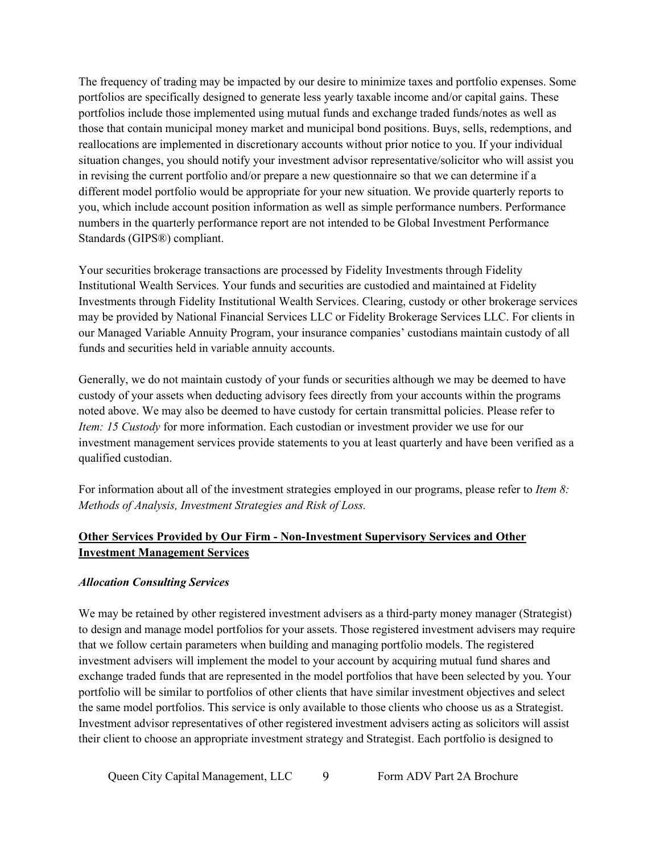The frequency of trading may be impacted by our desire to minimize taxes and portfolio expenses. Some portfolios are specifically designed to generate less yearly taxable income and/or capital gains. These portfolios include those implemented using mutual funds and exchange traded funds/notes as well as those that contain municipal money market and municipal bond positions. Buys, sells, redemptions, and reallocations are implemented in discretionary accounts without prior notice to you. If your individual situation changes, you should notify your investment advisor representative/solicitor who will assist you in revising the current portfolio and/or prepare a new questionnaire so that we can determine if a different model portfolio would be appropriate for your new situation. We provide quarterly reports to you, which include account position information as well as simple performance numbers. Performance numbers in the quarterly performance report are not intended to be Global Investment Performance Standards (GIPS®) compliant.

Your securities brokerage transactions are processed by Fidelity Investments through Fidelity Institutional Wealth Services. Your funds and securities are custodied and maintained at Fidelity Investments through Fidelity Institutional Wealth Services. Clearing, custody or other brokerage services may be provided by National Financial Services LLC or Fidelity Brokerage Services LLC. For clients in our Managed Variable Annuity Program, your insurance companies' custodians maintain custody of all funds and securities held in variable annuity accounts.

Generally, we do not maintain custody of your funds or securities although we may be deemed to have custody of your assets when deducting advisory fees directly from your accounts within the programs noted above. We may also be deemed to have custody for certain transmittal policies. Please refer to *Item: 15 Custody* for more information. Each custodian or investment provider we use for our investment management services provide statements to you at least quarterly and have been verified as a qualified custodian.

For information about all of the investment strategies employed in our programs, please refer to *Item 8: Methods of Analysis, Investment Strategies and Risk of Loss.*

# **Other Services Provided by Our Firm - Non-Investment Supervisory Services and Other Investment Management Services**

#### *Allocation Consulting Services*

We may be retained by other registered investment advisers as a third-party money manager (Strategist) to design and manage model portfolios for your assets. Those registered investment advisers may require that we follow certain parameters when building and managing portfolio models. The registered investment advisers will implement the model to your account by acquiring mutual fund shares and exchange traded funds that are represented in the model portfolios that have been selected by you. Your portfolio will be similar to portfolios of other clients that have similar investment objectives and select the same model portfolios. This service is only available to those clients who choose us as a Strategist. Investment advisor representatives of other registered investment advisers acting as solicitors will assist their client to choose an appropriate investment strategy and Strategist. Each portfolio is designed to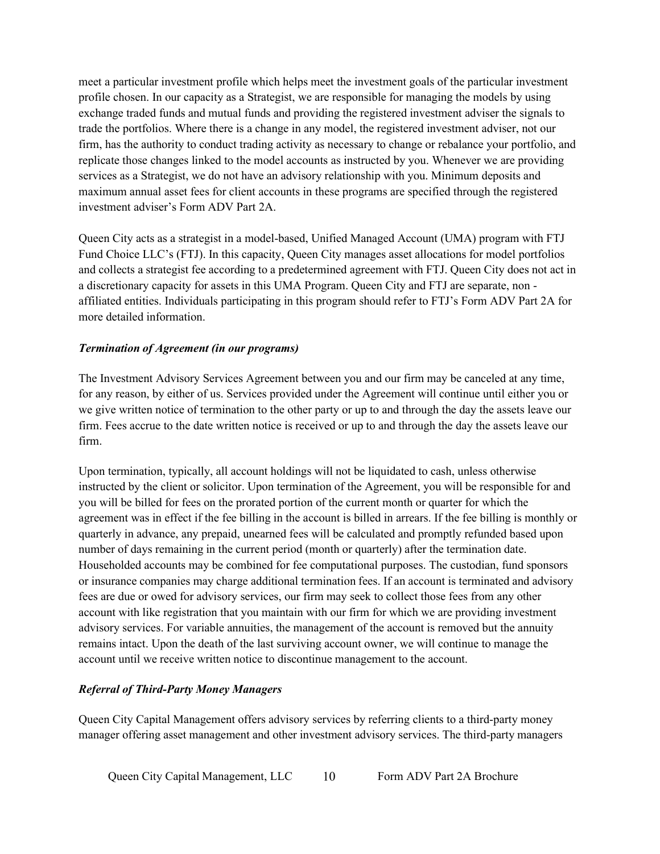meet a particular investment profile which helps meet the investment goals of the particular investment profile chosen. In our capacity as a Strategist, we are responsible for managing the models by using exchange traded funds and mutual funds and providing the registered investment adviser the signals to trade the portfolios. Where there is a change in any model, the registered investment adviser, not our firm, has the authority to conduct trading activity as necessary to change or rebalance your portfolio, and replicate those changes linked to the model accounts as instructed by you. Whenever we are providing services as a Strategist, we do not have an advisory relationship with you. Minimum deposits and maximum annual asset fees for client accounts in these programs are specified through the registered investment adviser's Form ADV Part 2A.

Queen City acts as a strategist in a model-based, Unified Managed Account (UMA) program with FTJ Fund Choice LLC's (FTJ). In this capacity, Queen City manages asset allocations for model portfolios and collects a strategist fee according to a predetermined agreement with FTJ. Queen City does not act in a discretionary capacity for assets in this UMA Program. Queen City and FTJ are separate, non affiliated entities. Individuals participating in this program should refer to FTJ's Form ADV Part 2A for more detailed information.

#### *Termination of Agreement (in our programs)*

The Investment Advisory Services Agreement between you and our firm may be canceled at any time, for any reason, by either of us. Services provided under the Agreement will continue until either you or we give written notice of termination to the other party or up to and through the day the assets leave our firm. Fees accrue to the date written notice is received or up to and through the day the assets leave our firm.

Upon termination, typically, all account holdings will not be liquidated to cash, unless otherwise instructed by the client or solicitor. Upon termination of the Agreement, you will be responsible for and you will be billed for fees on the prorated portion of the current month or quarter for which the agreement was in effect if the fee billing in the account is billed in arrears. If the fee billing is monthly or quarterly in advance, any prepaid, unearned fees will be calculated and promptly refunded based upon number of days remaining in the current period (month or quarterly) after the termination date. Householded accounts may be combined for fee computational purposes. The custodian, fund sponsors or insurance companies may charge additional termination fees. If an account is terminated and advisory fees are due or owed for advisory services, our firm may seek to collect those fees from any other account with like registration that you maintain with our firm for which we are providing investment advisory services. For variable annuities, the management of the account is removed but the annuity remains intact. Upon the death of the last surviving account owner, we will continue to manage the account until we receive written notice to discontinue management to the account.

### *Referral of Third-Party Money Managers*

Queen City Capital Management offers advisory services by referring clients to a third-party money manager offering asset management and other investment advisory services. The third-party managers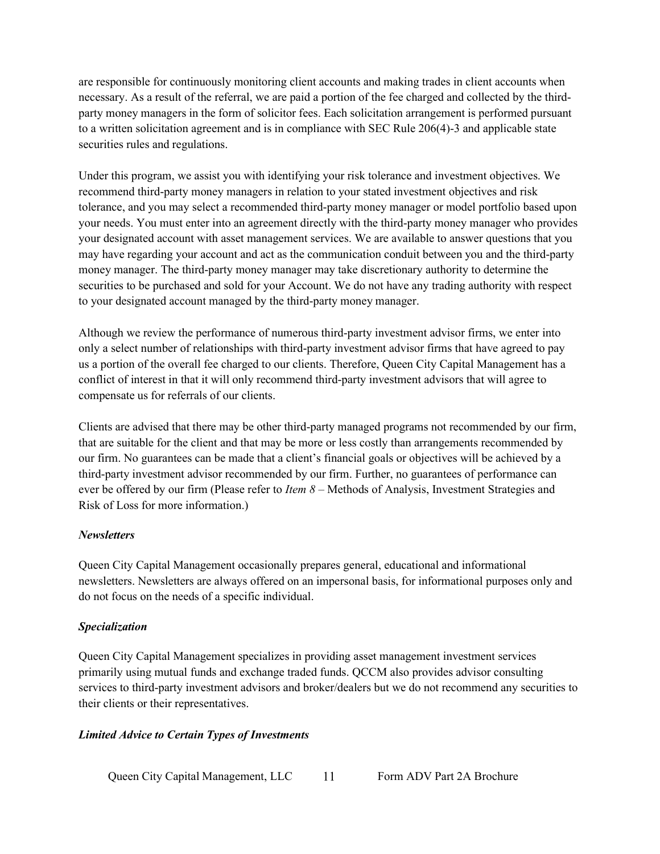are responsible for continuously monitoring client accounts and making trades in client accounts when necessary. As a result of the referral, we are paid a portion of the fee charged and collected by the thirdparty money managers in the form of solicitor fees. Each solicitation arrangement is performed pursuant to a written solicitation agreement and is in compliance with SEC Rule 206(4)-3 and applicable state securities rules and regulations.

Under this program, we assist you with identifying your risk tolerance and investment objectives. We recommend third-party money managers in relation to your stated investment objectives and risk tolerance, and you may select a recommended third-party money manager or model portfolio based upon your needs. You must enter into an agreement directly with the third-party money manager who provides your designated account with asset management services. We are available to answer questions that you may have regarding your account and act as the communication conduit between you and the third-party money manager. The third-party money manager may take discretionary authority to determine the securities to be purchased and sold for your Account. We do not have any trading authority with respect to your designated account managed by the third-party money manager.

Although we review the performance of numerous third-party investment advisor firms, we enter into only a select number of relationships with third-party investment advisor firms that have agreed to pay us a portion of the overall fee charged to our clients. Therefore, Queen City Capital Management has a conflict of interest in that it will only recommend third-party investment advisors that will agree to compensate us for referrals of our clients.

Clients are advised that there may be other third-party managed programs not recommended by our firm, that are suitable for the client and that may be more or less costly than arrangements recommended by our firm. No guarantees can be made that a client's financial goals or objectives will be achieved by a third-party investment advisor recommended by our firm. Further, no guarantees of performance can ever be offered by our firm (Please refer to *Item 8* – Methods of Analysis, Investment Strategies and Risk of Loss for more information.)

### *Newsletters*

Queen City Capital Management occasionally prepares general, educational and informational newsletters. Newsletters are always offered on an impersonal basis, for informational purposes only and do not focus on the needs of a specific individual.

#### *Specialization*

Queen City Capital Management specializes in providing asset management investment services primarily using mutual funds and exchange traded funds. QCCM also provides advisor consulting services to third-party investment advisors and broker/dealers but we do not recommend any securities to their clients or their representatives.

#### *Limited Advice to Certain Types of Investments*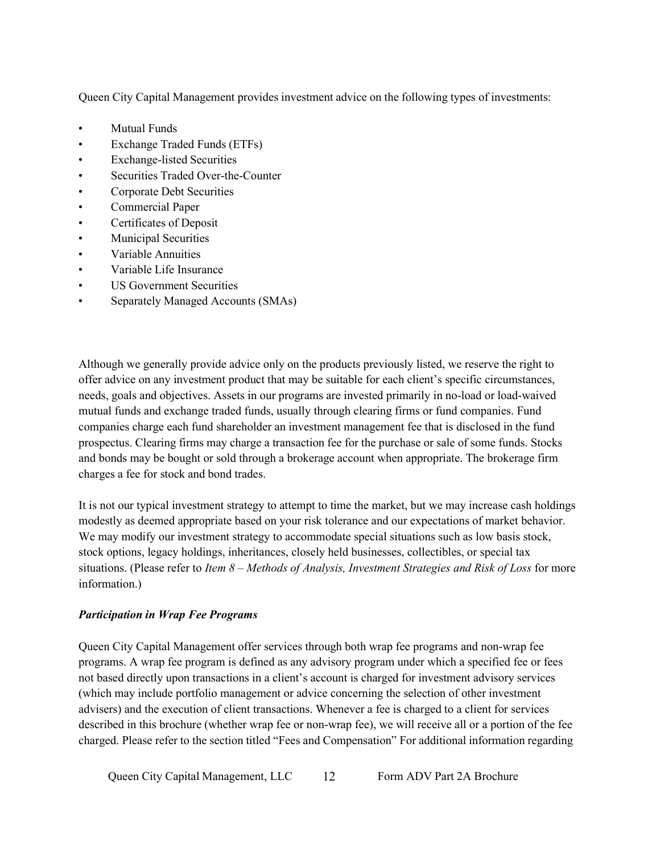Queen City Capital Management provides investment advice on the following types of investments:

- Mutual Funds
- Exchange Traded Funds (ETFs)
- Exchange-listed Securities
- Securities Traded Over-the-Counter
- Corporate Debt Securities
- Commercial Paper
- Certificates of Deposit
- Municipal Securities
- Variable Annuities
- Variable Life Insurance
- US Government Securities
- Separately Managed Accounts (SMAs)

Although we generally provide advice only on the products previously listed, we reserve the right to offer advice on any investment product that may be suitable for each client's specific circumstances, needs, goals and objectives. Assets in our programs are invested primarily in no-load or load-waived mutual funds and exchange traded funds, usually through clearing firms or fund companies. Fund companies charge each fund shareholder an investment management fee that is disclosed in the fund prospectus. Clearing firms may charge a transaction fee for the purchase or sale of some funds. Stocks and bonds may be bought or sold through a brokerage account when appropriate. The brokerage firm charges a fee for stock and bond trades.

It is not our typical investment strategy to attempt to time the market, but we may increase cash holdings modestly as deemed appropriate based on your risk tolerance and our expectations of market behavior. We may modify our investment strategy to accommodate special situations such as low basis stock, stock options, legacy holdings, inheritances, closely held businesses, collectibles, or special tax situations. (Please refer to *Item 8 – Methods of Analysis, Investment Strategies and Risk of Loss* for more information.)

### *Participation in Wrap Fee Programs*

Queen City Capital Management offer services through both wrap fee programs and non-wrap fee programs. A wrap fee program is defined as any advisory program under which a specified fee or fees not based directly upon transactions in a client's account is charged for investment advisory services (which may include portfolio management or advice concerning the selection of other investment advisers) and the execution of client transactions. Whenever a fee is charged to a client for services described in this brochure (whether wrap fee or non-wrap fee), we will receive all or a portion of the fee charged. Please refer to the section titled "Fees and Compensation" For additional information regarding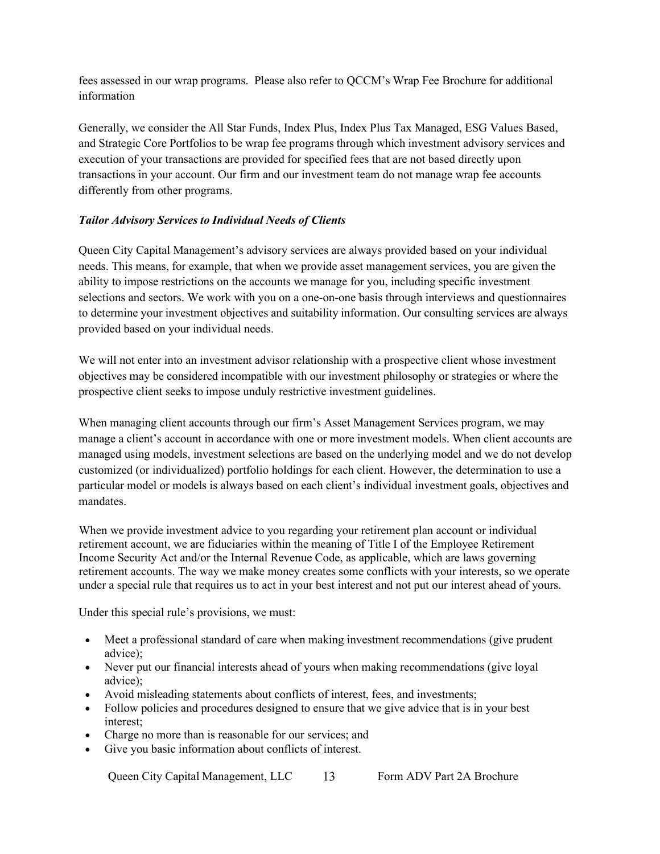fees assessed in our wrap programs. Please also refer to QCCM's Wrap Fee Brochure for additional information

Generally, we consider the All Star Funds, Index Plus, Index Plus Tax Managed, ESG Values Based, and Strategic Core Portfolios to be wrap fee programs through which investment advisory services and execution of your transactions are provided for specified fees that are not based directly upon transactions in your account. Our firm and our investment team do not manage wrap fee accounts differently from other programs.

### *Tailor Advisory Services to Individual Needs of Clients*

Queen City Capital Management's advisory services are always provided based on your individual needs. This means, for example, that when we provide asset management services, you are given the ability to impose restrictions on the accounts we manage for you, including specific investment selections and sectors. We work with you on a one-on-one basis through interviews and questionnaires to determine your investment objectives and suitability information. Our consulting services are always provided based on your individual needs.

We will not enter into an investment advisor relationship with a prospective client whose investment objectives may be considered incompatible with our investment philosophy or strategies or where the prospective client seeks to impose unduly restrictive investment guidelines.

When managing client accounts through our firm's Asset Management Services program, we may manage a client's account in accordance with one or more investment models. When client accounts are managed using models, investment selections are based on the underlying model and we do not develop customized (or individualized) portfolio holdings for each client. However, the determination to use a particular model or models is always based on each client's individual investment goals, objectives and mandates.

When we provide investment advice to you regarding your retirement plan account or individual retirement account, we are fiduciaries within the meaning of Title I of the Employee Retirement Income Security Act and/or the Internal Revenue Code, as applicable, which are laws governing retirement accounts. The way we make money creates some conflicts with your interests, so we operate under a special rule that requires us to act in your best interest and not put our interest ahead of yours.

Under this special rule's provisions, we must:

- Meet a professional standard of care when making investment recommendations (give prudent advice);
- Never put our financial interests ahead of yours when making recommendations (give loyal advice);
- Avoid misleading statements about conflicts of interest, fees, and investments;
- Follow policies and procedures designed to ensure that we give advice that is in your best interest;
- Charge no more than is reasonable for our services; and
- Give you basic information about conflicts of interest.

Queen City Capital Management, LLC 13 Form ADV Part 2A Brochure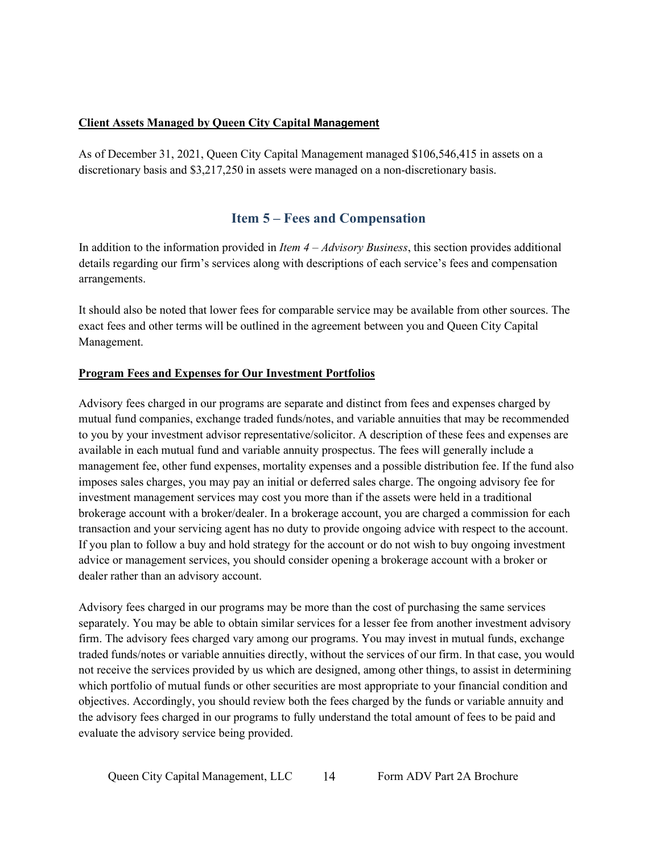#### **Client Assets Managed by Queen City Capital Management**

As of December 31, 2021, Queen City Capital Management managed \$106,546,415 in assets on a discretionary basis and \$3,217,250 in assets were managed on a non-discretionary basis.

# **Item 5 – Fees and Compensation**

<span id="page-13-0"></span>In addition to the information provided in *Item 4 – Advisory Business*, this section provides additional details regarding our firm's services along with descriptions of each service's fees and compensation arrangements.

It should also be noted that lower fees for comparable service may be available from other sources. The exact fees and other terms will be outlined in the agreement between you and Queen City Capital Management.

### **Program Fees and Expenses for Our Investment Portfolios**

Advisory fees charged in our programs are separate and distinct from fees and expenses charged by mutual fund companies, exchange traded funds/notes, and variable annuities that may be recommended to you by your investment advisor representative/solicitor. A description of these fees and expenses are available in each mutual fund and variable annuity prospectus. The fees will generally include a management fee, other fund expenses, mortality expenses and a possible distribution fee. If the fund also imposes sales charges, you may pay an initial or deferred sales charge. The ongoing advisory fee for investment management services may cost you more than if the assets were held in a traditional brokerage account with a broker/dealer. In a brokerage account, you are charged a commission for each transaction and your servicing agent has no duty to provide ongoing advice with respect to the account. If you plan to follow a buy and hold strategy for the account or do not wish to buy ongoing investment advice or management services, you should consider opening a brokerage account with a broker or dealer rather than an advisory account.

Advisory fees charged in our programs may be more than the cost of purchasing the same services separately. You may be able to obtain similar services for a lesser fee from another investment advisory firm. The advisory fees charged vary among our programs. You may invest in mutual funds, exchange traded funds/notes or variable annuities directly, without the services of our firm. In that case, you would not receive the services provided by us which are designed, among other things, to assist in determining which portfolio of mutual funds or other securities are most appropriate to your financial condition and objectives. Accordingly, you should review both the fees charged by the funds or variable annuity and the advisory fees charged in our programs to fully understand the total amount of fees to be paid and evaluate the advisory service being provided.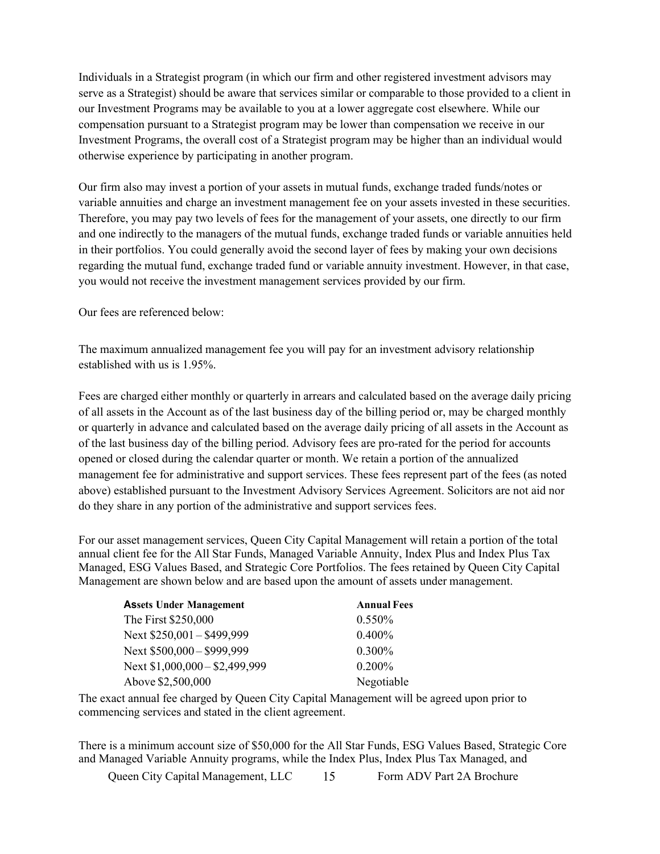Individuals in a Strategist program (in which our firm and other registered investment advisors may serve as a Strategist) should be aware that services similar or comparable to those provided to a client in our Investment Programs may be available to you at a lower aggregate cost elsewhere. While our compensation pursuant to a Strategist program may be lower than compensation we receive in our Investment Programs, the overall cost of a Strategist program may be higher than an individual would otherwise experience by participating in another program.

Our firm also may invest a portion of your assets in mutual funds, exchange traded funds/notes or variable annuities and charge an investment management fee on your assets invested in these securities. Therefore, you may pay two levels of fees for the management of your assets, one directly to our firm and one indirectly to the managers of the mutual funds, exchange traded funds or variable annuities held in their portfolios. You could generally avoid the second layer of fees by making your own decisions regarding the mutual fund, exchange traded fund or variable annuity investment. However, in that case, you would not receive the investment management services provided by our firm.

Our fees are referenced below:

The maximum annualized management fee you will pay for an investment advisory relationship established with us is 1.95%.

Fees are charged either monthly or quarterly in arrears and calculated based on the average daily pricing of all assets in the Account as of the last business day of the billing period or, may be charged monthly or quarterly in advance and calculated based on the average daily pricing of all assets in the Account as of the last business day of the billing period. Advisory fees are pro-rated for the period for accounts opened or closed during the calendar quarter or month. We retain a portion of the annualized management fee for administrative and support services. These fees represent part of the fees (as noted above) established pursuant to the Investment Advisory Services Agreement. Solicitors are not aid nor do they share in any portion of the administrative and support services fees.

For our asset management services, Queen City Capital Management will retain a portion of the total annual client fee for the All Star Funds, Managed Variable Annuity, Index Plus and Index Plus Tax Managed, ESG Values Based, and Strategic Core Portfolios. The fees retained by Queen City Capital Management are shown below and are based upon the amount of assets under management.

| <b>Assets Under Management</b> | <b>Annual Fees</b> |
|--------------------------------|--------------------|
| The First \$250,000            | $0.550\%$          |
| Next \$250,001 - \$499,999     | 0.400%             |
| Next \$500,000 - \$999,999     | 0.300%             |
| Next \$1,000,000 - \$2,499,999 | 0.200%             |
| Above \$2,500,000              | Negotiable         |

The exact annual fee charged by Queen City Capital Management will be agreed upon prior to commencing services and stated in the client agreement.

There is a minimum account size of \$50,000 for the All Star Funds, ESG Values Based, Strategic Core and Managed Variable Annuity programs, while the Index Plus, Index Plus Tax Managed, and

Queen City Capital Management, LLC 15 Form ADV Part 2A Brochure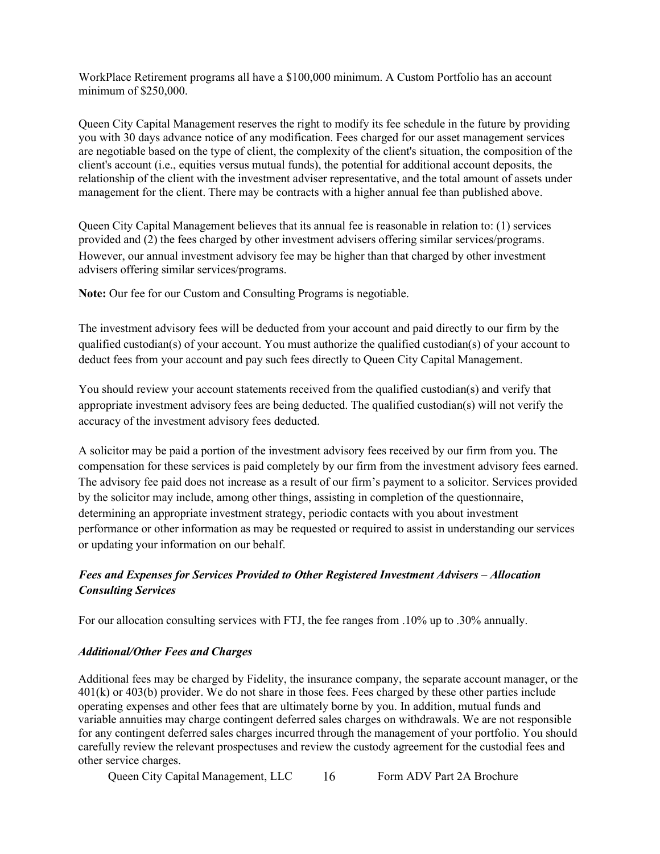WorkPlace Retirement programs all have a \$100,000 minimum. A Custom Portfolio has an account minimum of \$250,000.

Queen City Capital Management reserves the right to modify its fee schedule in the future by providing you with 30 days advance notice of any modification. Fees charged for our asset management services are negotiable based on the type of client, the complexity of the client's situation, the composition of the client's account (i.e., equities versus mutual funds), the potential for additional account deposits, the relationship of the client with the investment adviser representative, and the total amount of assets under management for the client. There may be contracts with a higher annual fee than published above.

Queen City Capital Management believes that its annual fee is reasonable in relation to: (1) services provided and (2) the fees charged by other investment advisers offering similar services/programs. However, our annual investment advisory fee may be higher than that charged by other investment advisers offering similar services/programs.

**Note:** Our fee for our Custom and Consulting Programs is negotiable.

The investment advisory fees will be deducted from your account and paid directly to our firm by the qualified custodian(s) of your account. You must authorize the qualified custodian(s) of your account to deduct fees from your account and pay such fees directly to Queen City Capital Management.

You should review your account statements received from the qualified custodian(s) and verify that appropriate investment advisory fees are being deducted. The qualified custodian(s) will not verify the accuracy of the investment advisory fees deducted.

A solicitor may be paid a portion of the investment advisory fees received by our firm from you. The compensation for these services is paid completely by our firm from the investment advisory fees earned. The advisory fee paid does not increase as a result of our firm's payment to a solicitor. Services provided by the solicitor may include, among other things, assisting in completion of the questionnaire, determining an appropriate investment strategy, periodic contacts with you about investment performance or other information as may be requested or required to assist in understanding our services or updating your information on our behalf.

# *Fees and Expenses for Services Provided to Other Registered Investment Advisers – Allocation Consulting Services*

For our allocation consulting services with FTJ, the fee ranges from .10% up to .30% annually.

#### *Additional/Other Fees and Charges*

Additional fees may be charged by Fidelity, the insurance company, the separate account manager, or the 401(k) or 403(b) provider. We do not share in those fees. Fees charged by these other parties include operating expenses and other fees that are ultimately borne by you. In addition, mutual funds and variable annuities may charge contingent deferred sales charges on withdrawals. We are not responsible for any contingent deferred sales charges incurred through the management of your portfolio. You should carefully review the relevant prospectuses and review the custody agreement for the custodial fees and other service charges.

Queen City Capital Management, LLC 16 Form ADV Part 2A Brochure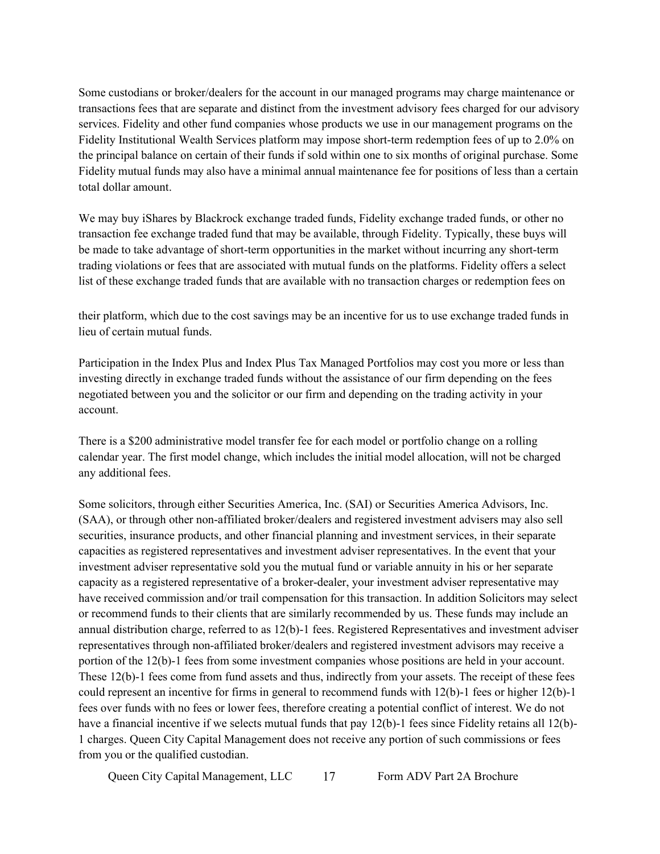Some custodians or broker/dealers for the account in our managed programs may charge maintenance or transactions fees that are separate and distinct from the investment advisory fees charged for our advisory services. Fidelity and other fund companies whose products we use in our management programs on the Fidelity Institutional Wealth Services platform may impose short-term redemption fees of up to 2.0% on the principal balance on certain of their funds if sold within one to six months of original purchase. Some Fidelity mutual funds may also have a minimal annual maintenance fee for positions of less than a certain total dollar amount.

We may buy iShares by Blackrock exchange traded funds, Fidelity exchange traded funds, or other no transaction fee exchange traded fund that may be available, through Fidelity. Typically, these buys will be made to take advantage of short-term opportunities in the market without incurring any short-term trading violations or fees that are associated with mutual funds on the platforms. Fidelity offers a select list of these exchange traded funds that are available with no transaction charges or redemption fees on

their platform, which due to the cost savings may be an incentive for us to use exchange traded funds in lieu of certain mutual funds.

Participation in the Index Plus and Index Plus Tax Managed Portfolios may cost you more or less than investing directly in exchange traded funds without the assistance of our firm depending on the fees negotiated between you and the solicitor or our firm and depending on the trading activity in your account.

There is a \$200 administrative model transfer fee for each model or portfolio change on a rolling calendar year. The first model change, which includes the initial model allocation, will not be charged any additional fees.

Some solicitors, through either Securities America, Inc. (SAI) or Securities America Advisors, Inc. (SAA), or through other non-affiliated broker/dealers and registered investment advisers may also sell securities, insurance products, and other financial planning and investment services, in their separate capacities as registered representatives and investment adviser representatives. In the event that your investment adviser representative sold you the mutual fund or variable annuity in his or her separate capacity as a registered representative of a broker-dealer, your investment adviser representative may have received commission and/or trail compensation for this transaction. In addition Solicitors may select or recommend funds to their clients that are similarly recommended by us. These funds may include an annual distribution charge, referred to as 12(b)-1 fees. Registered Representatives and investment adviser representatives through non-affiliated broker/dealers and registered investment advisors may receive a portion of the 12(b)-1 fees from some investment companies whose positions are held in your account. These 12(b)-1 fees come from fund assets and thus, indirectly from your assets. The receipt of these fees could represent an incentive for firms in general to recommend funds with 12(b)-1 fees or higher 12(b)-1 fees over funds with no fees or lower fees, therefore creating a potential conflict of interest. We do not have a financial incentive if we selects mutual funds that pay 12(b)-1 fees since Fidelity retains all 12(b)-1 charges. Queen City Capital Management does not receive any portion of such commissions or fees from you or the qualified custodian.

Queen City Capital Management, LLC 17 Form ADV Part 2A Brochure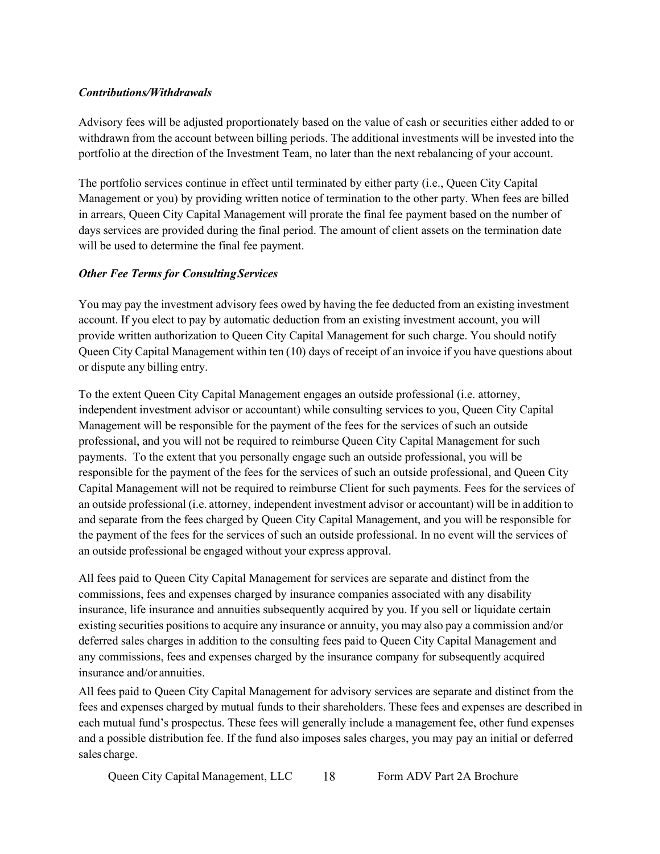### *Contributions/Withdrawals*

Advisory fees will be adjusted proportionately based on the value of cash or securities either added to or withdrawn from the account between billing periods. The additional investments will be invested into the portfolio at the direction of the Investment Team, no later than the next rebalancing of your account.

The portfolio services continue in effect until terminated by either party (i.e., Queen City Capital Management or you) by providing written notice of termination to the other party. When fees are billed in arrears, Queen City Capital Management will prorate the final fee payment based on the number of days services are provided during the final period. The amount of client assets on the termination date will be used to determine the final fee payment.

### *Other Fee Terms for ConsultingServices*

You may pay the investment advisory fees owed by having the fee deducted from an existing investment account. If you elect to pay by automatic deduction from an existing investment account, you will provide written authorization to Queen City Capital Management for such charge. You should notify Queen City Capital Management within ten (10) days of receipt of an invoice if you have questions about or dispute any billing entry.

To the extent Queen City Capital Management engages an outside professional (i.e. attorney, independent investment advisor or accountant) while consulting services to you, Queen City Capital Management will be responsible for the payment of the fees for the services of such an outside professional, and you will not be required to reimburse Queen City Capital Management for such payments. To the extent that you personally engage such an outside professional, you will be responsible for the payment of the fees for the services of such an outside professional, and Queen City Capital Management will not be required to reimburse Client for such payments. Fees for the services of an outside professional (i.e. attorney, independent investment advisor or accountant) will be in addition to and separate from the fees charged by Queen City Capital Management, and you will be responsible for the payment of the fees for the services of such an outside professional. In no event will the services of an outside professional be engaged without your express approval.

All fees paid to Queen City Capital Management for services are separate and distinct from the commissions, fees and expenses charged by insurance companies associated with any disability insurance, life insurance and annuities subsequently acquired by you. If you sell or liquidate certain existing securities positionsto acquire any insurance or annuity, you may also pay a commission and/or deferred sales charges in addition to the consulting fees paid to Queen City Capital Management and any commissions, fees and expenses charged by the insurance company for subsequently acquired insurance and/or annuities.

All fees paid to Queen City Capital Management for advisory services are separate and distinct from the fees and expenses charged by mutual funds to their shareholders. These fees and expenses are described in each mutual fund's prospectus. These fees will generally include a management fee, other fund expenses and a possible distribution fee. If the fund also imposes sales charges, you may pay an initial or deferred sales charge.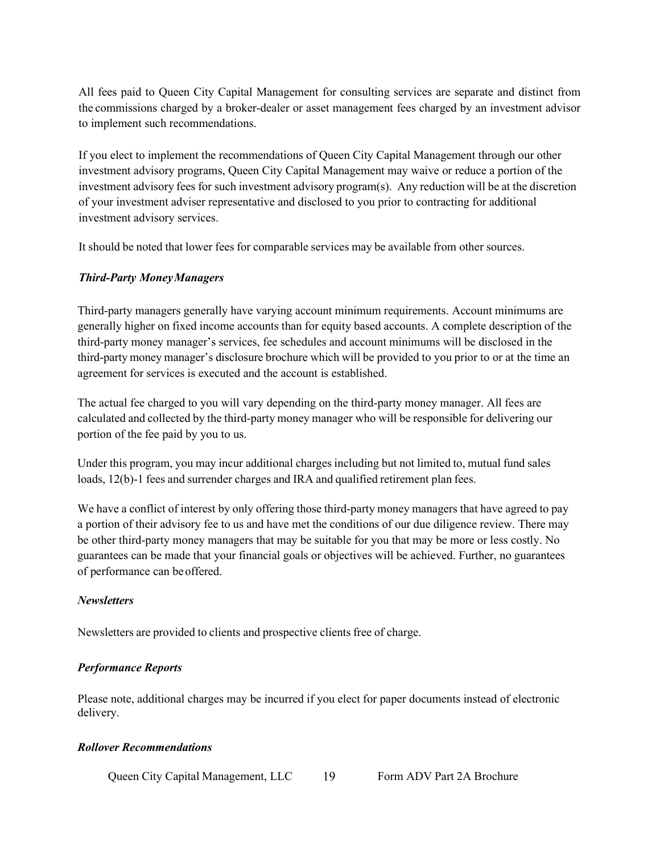All fees paid to Queen City Capital Management for consulting services are separate and distinct from the commissions charged by a broker-dealer or asset management fees charged by an investment advisor to implement such recommendations.

If you elect to implement the recommendations of Queen City Capital Management through our other investment advisory programs, Queen City Capital Management may waive or reduce a portion of the investment advisory fees for such investment advisory program(s). Any reduction will be at the discretion of your investment adviser representative and disclosed to you prior to contracting for additional investment advisory services.

It should be noted that lower fees for comparable services may be available from other sources.

### <span id="page-18-0"></span>*Third-Party MoneyManagers*

Third-party managers generally have varying account minimum requirements. Account minimums are generally higher on fixed income accounts than for equity based accounts. A complete description of the third-party money manager's services, fee schedules and account minimums will be disclosed in the third-party money manager's disclosure brochure which will be provided to you prior to or at the time an agreement for services is executed and the account is established.

The actual fee charged to you will vary depending on the third-party money manager. All fees are calculated and collected by the third-party money manager who will be responsible for delivering our portion of the fee paid by you to us.

Under this program, you may incur additional charges including but not limited to, mutual fund sales loads, 12(b)-1 fees and surrender charges and IRA and qualified retirement plan fees.

We have a conflict of interest by only offering those third-party money managers that have agreed to pay a portion of their advisory fee to us and have met the conditions of our due diligence review. There may be other third-party money managers that may be suitable for you that may be more or less costly. No guarantees can be made that your financial goals or objectives will be achieved. Further, no guarantees of performance can beoffered.

### *Newsletters*

Newsletters are provided to clients and prospective clients free of charge.

### *Performance Reports*

Please note, additional charges may be incurred if you elect for paper documents instead of electronic delivery.

### *Rollover Recommendations*

Queen City Capital Management, LLC 19 Form ADV Part 2A Brochure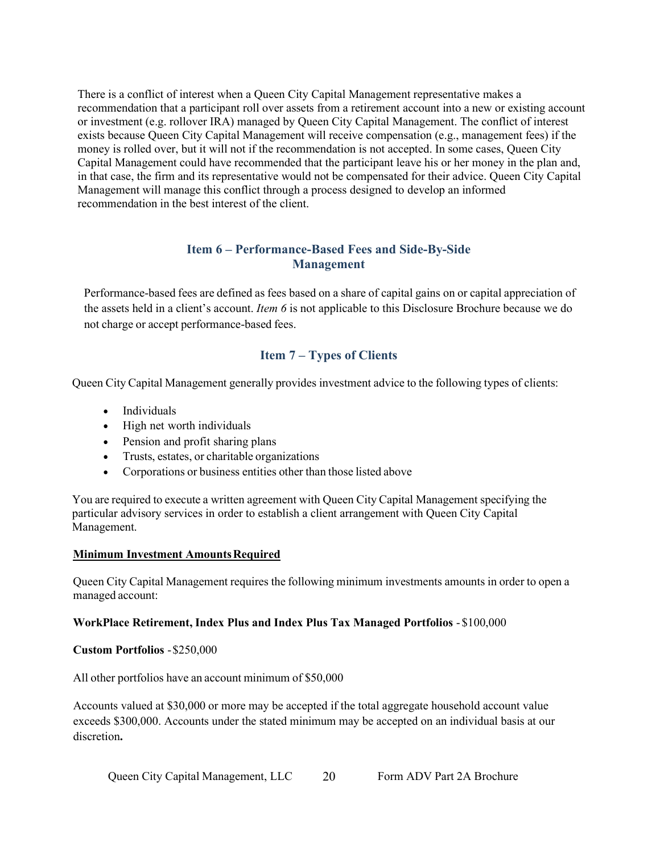There is a conflict of interest when a Queen City Capital Management representative makes a recommendation that a participant roll over assets from a retirement account into a new or existing account or investment (e.g. rollover IRA) managed by Queen City Capital Management. The conflict of interest exists because Queen City Capital Management will receive compensation (e.g., management fees) if the money is rolled over, but it will not if the recommendation is not accepted. In some cases, Queen City Capital Management could have recommended that the participant leave his or her money in the plan and, in that case, the firm and its representative would not be compensated for their advice. Queen City Capital Management will manage this conflict through a process designed to develop an informed recommendation in the best interest of the client.

### **Item 6 – Performance-Based Fees and Side-By-Side Management**

<span id="page-19-1"></span>Performance-based fees are defined as fees based on a share of capital gains on or capital appreciation of the assets held in a client's account. *Item 6* is not applicable to this Disclosure Brochure because we do not charge or accept performance-based fees.

# **Item 7 – Types of Clients**

<span id="page-19-0"></span>Queen City Capital Management generally provides investment advice to the following types of clients:

- Individuals
- High net worth individuals
- Pension and profit sharing plans
- Trusts, estates, or charitable organizations
- Corporations or business entities other than those listed above

You are required to execute a written agreement with Queen City Capital Management specifying the particular advisory services in order to establish a client arrangement with Queen City Capital Management.

### **Minimum Investment AmountsRequired**

Queen City Capital Management requires the following minimum investments amounts in order to open a managed account:

### **WorkPlace Retirement, Index Plus and Index Plus Tax Managed Portfolios** - \$100,000

### **Custom Portfolios** -\$250,000

All other portfolios have an account minimum of \$50,000

Accounts valued at \$30,000 or more may be accepted if the total aggregate household account value exceeds \$300,000. Accounts under the stated minimum may be accepted on an individual basis at our discretion**.**

Queen City Capital Management, LLC 20 Form ADV Part 2A Brochure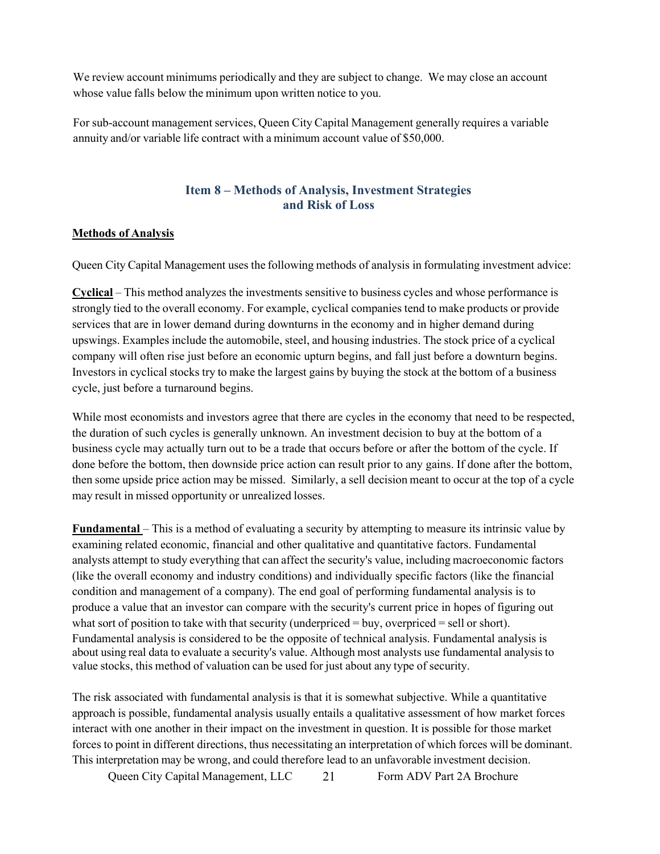We review account minimums periodically and they are subject to change. We may close an account whose value falls below the minimum upon written notice to you.

For sub-account management services, Queen City Capital Management generally requires a variable annuity and/or variable life contract with a minimum account value of \$50,000.

### **Item 8 – Methods of Analysis, Investment Strategies and Risk of Loss**

#### **Methods of Analysis**

Queen City Capital Management uses the following methods of analysis in formulating investment advice:

**Cyclical** – This method analyzes the investments sensitive to business cycles and whose performance is strongly tied to the overall economy. For example, cyclical companies tend to make products or provide services that are in lower demand during downturns in the economy and in higher demand during upswings. Examples include the automobile, steel, and housing industries. The stock price of a cyclical company will often rise just before an economic upturn begins, and fall just before a downturn begins. Investors in cyclical stocks try to make the largest gains by buying the stock at the bottom of a business cycle, just before a turnaround begins.

While most economists and investors agree that there are cycles in the economy that need to be respected, the duration of such cycles is generally unknown. An investment decision to buy at the bottom of a business cycle may actually turn out to be a trade that occurs before or after the bottom of the cycle. If done before the bottom, then downside price action can result prior to any gains. If done after the bottom, then some upside price action may be missed. Similarly, a sell decision meant to occur at the top of a cycle may result in missed opportunity or unrealized losses.

**Fundamental** – This is a method of evaluating a security by attempting to measure its intrinsic value by examining related economic, financial and other qualitative and quantitative factors. Fundamental analysts attempt to study everything that can affect the security's value, including macroeconomic factors (like the overall economy and industry conditions) and individually specific factors (like the financial condition and management of a company). The end goal of performing fundamental analysis is to produce a value that an investor can compare with the security's current price in hopes of figuring out what sort of position to take with that security (underpriced = buy, overpriced = sell or short). Fundamental analysis is considered to be the opposite of technical analysis. Fundamental analysis is about using real data to evaluate a security's value. Although most analysts use fundamental analysis to value stocks, this method of valuation can be used for just about any type of security.

The risk associated with fundamental analysis is that it is somewhat subjective. While a quantitative approach is possible, fundamental analysis usually entails a qualitative assessment of how market forces interact with one another in their impact on the investment in question. It is possible for those market forces to point in different directions, thus necessitating an interpretation of which forces will be dominant. This interpretation may be wrong, and could therefore lead to an unfavorable investment decision.

Queen City Capital Management, LLC 21 Form ADV Part 2A Brochure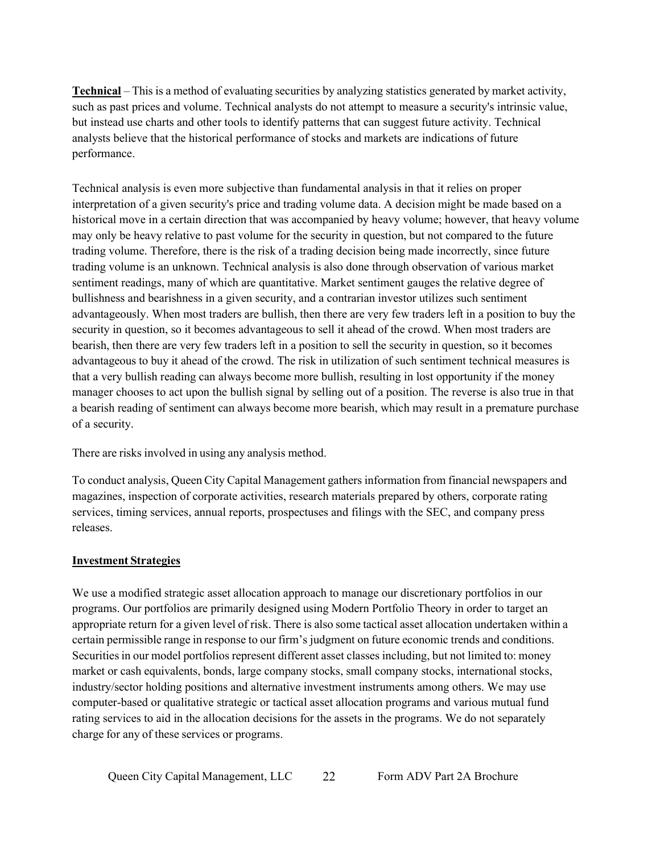**Technical** – This is a method of evaluating securities by analyzing statistics generated by market activity, such as past prices and volume. Technical analysts do not attempt to measure a security's intrinsic value, but instead use charts and other tools to identify patterns that can suggest future activity. Technical analysts believe that the historical performance of stocks and markets are indications of future performance.

Technical analysis is even more subjective than fundamental analysis in that it relies on proper interpretation of a given security's price and trading volume data. A decision might be made based on a historical move in a certain direction that was accompanied by heavy volume; however, that heavy volume may only be heavy relative to past volume for the security in question, but not compared to the future trading volume. Therefore, there is the risk of a trading decision being made incorrectly, since future trading volume is an unknown. Technical analysis is also done through observation of various market sentiment readings, many of which are quantitative. Market sentiment gauges the relative degree of bullishness and bearishness in a given security, and a contrarian investor utilizes such sentiment advantageously. When most traders are bullish, then there are very few traders left in a position to buy the security in question, so it becomes advantageous to sell it ahead of the crowd. When most traders are bearish, then there are very few traders left in a position to sell the security in question, so it becomes advantageous to buy it ahead of the crowd. The risk in utilization of such sentiment technical measures is that a very bullish reading can always become more bullish, resulting in lost opportunity if the money manager chooses to act upon the bullish signal by selling out of a position. The reverse is also true in that a bearish reading of sentiment can always become more bearish, which may result in a premature purchase of a security.

There are risks involved in using any analysis method.

To conduct analysis, Queen City Capital Management gathers information from financial newspapers and magazines, inspection of corporate activities, research materials prepared by others, corporate rating services, timing services, annual reports, prospectuses and filings with the SEC, and company press releases.

#### **Investment Strategies**

We use a modified strategic asset allocation approach to manage our discretionary portfolios in our programs. Our portfolios are primarily designed using Modern Portfolio Theory in order to target an appropriate return for a given level of risk. There is also some tactical asset allocation undertaken within a certain permissible range in response to our firm's judgment on future economic trends and conditions. Securities in our model portfolios represent different asset classes including, but not limited to: money market or cash equivalents, bonds, large company stocks, small company stocks, international stocks, industry/sector holding positions and alternative investment instruments among others. We may use computer-based or qualitative strategic or tactical asset allocation programs and various mutual fund rating services to aid in the allocation decisions for the assets in the programs. We do not separately charge for any of these services or programs.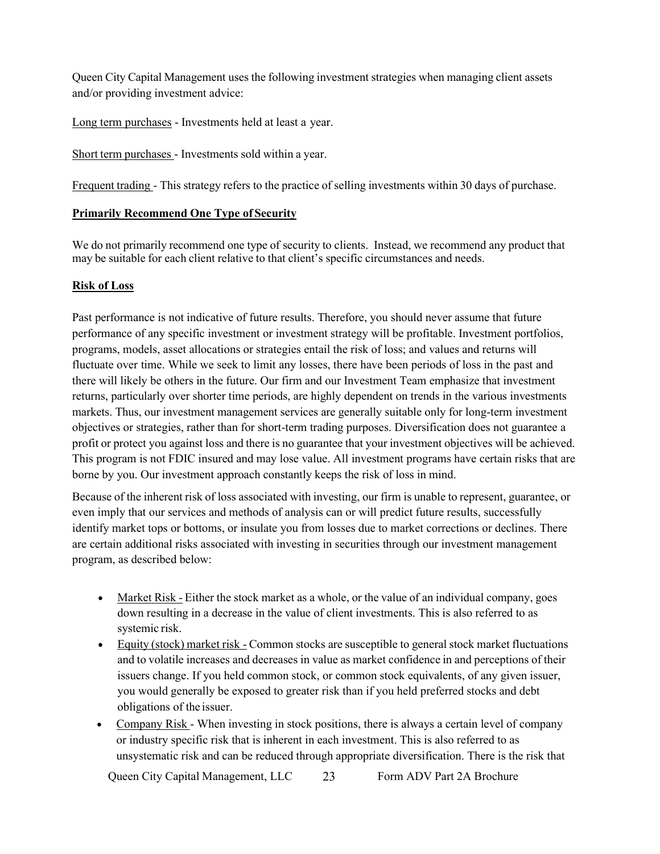Queen City Capital Management uses the following investment strategies when managing client assets and/or providing investment advice:

Long term purchases - Investments held at least a year.

Short term purchases - Investments sold within a year.

Frequent trading - This strategy refers to the practice of selling investments within 30 days of purchase.

### **Primarily Recommend One Type of Security**

We do not primarily recommend one type of security to clients. Instead, we recommend any product that may be suitable for each client relative to that client's specific circumstances and needs.

### **Risk of Loss**

Past performance is not indicative of future results. Therefore, you should never assume that future performance of any specific investment or investment strategy will be profitable. Investment portfolios, programs, models, asset allocations or strategies entail the risk of loss; and values and returns will fluctuate over time. While we seek to limit any losses, there have been periods of loss in the past and there will likely be others in the future. Our firm and our Investment Team emphasize that investment returns, particularly over shorter time periods, are highly dependent on trends in the various investments markets. Thus, our investment management services are generally suitable only for long-term investment objectives or strategies, rather than for short-term trading purposes. Diversification does not guarantee a profit or protect you against loss and there is no guarantee that your investment objectives will be achieved. This program is not FDIC insured and may lose value. All investment programs have certain risks that are borne by you. Our investment approach constantly keeps the risk of loss in mind.

Because of the inherent risk of loss associated with investing, our firm is unable to represent, guarantee, or even imply that our services and methods of analysis can or will predict future results, successfully identify market tops or bottoms, or insulate you from losses due to market corrections or declines. There are certain additional risks associated with investing in securities through our investment management program, as described below:

- Market Risk Either the stock market as a whole, or the value of an individual company, goes down resulting in a decrease in the value of client investments. This is also referred to as systemic risk.
- Equity (stock) market risk Common stocks are susceptible to general stock market fluctuations and to volatile increases and decreases in value as market confidence in and perceptions of their issuers change. If you held common stock, or common stock equivalents, of any given issuer, you would generally be exposed to greater risk than if you held preferred stocks and debt obligations of the issuer.
- Company Risk When investing in stock positions, there is always a certain level of company or industry specific risk that is inherent in each investment. This is also referred to as unsystematic risk and can be reduced through appropriate diversification. There is the risk that

Queen City Capital Management, LLC 23 Form ADV Part 2A Brochure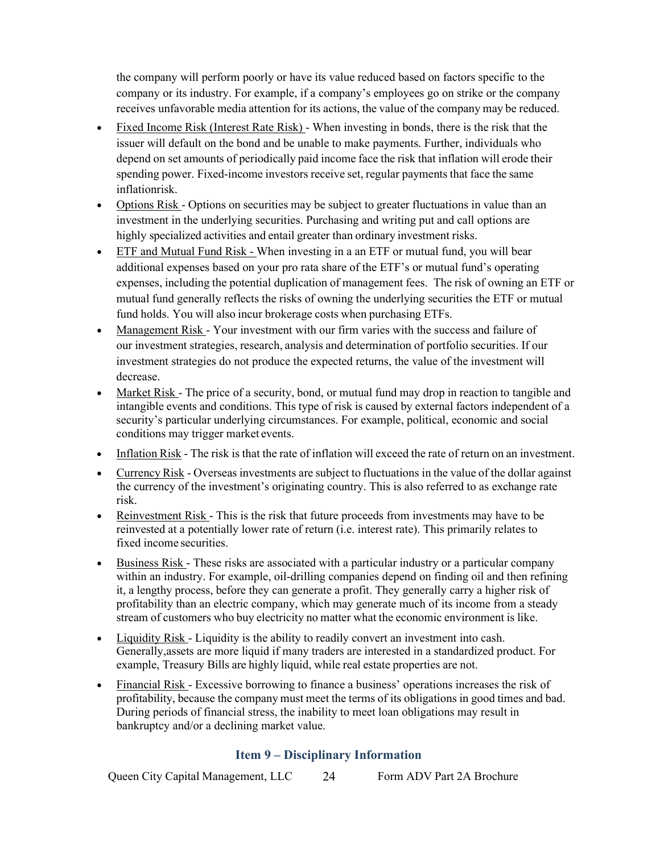the company will perform poorly or have its value reduced based on factors specific to the company or its industry. For example, if a company's employees go on strike or the company receives unfavorable media attention for its actions, the value of the company may be reduced.

- Fixed Income Risk (Interest Rate Risk) When investing in bonds, there is the risk that the issuer will default on the bond and be unable to make payments. Further, individuals who depend on set amounts of periodically paid income face the risk that inflation will erode their spending power. Fixed-income investors receive set, regular payments that face the same inflationrisk.
- Options Risk Options on securities may be subject to greater fluctuations in value than an investment in the underlying securities. Purchasing and writing put and call options are highly specialized activities and entail greater than ordinary investment risks.
- ETF and Mutual Fund Risk When investing in a an ETF or mutual fund, you will bear additional expenses based on your pro rata share of the ETF's or mutual fund's operating expenses, including the potential duplication of management fees. The risk of owning an ETF or mutual fund generally reflects the risks of owning the underlying securities the ETF or mutual fund holds. You will also incur brokerage costs when purchasing ETFs.
- Management Risk Your investment with our firm varies with the success and failure of our investment strategies, research, analysis and determination of portfolio securities. If our investment strategies do not produce the expected returns, the value of the investment will decrease.
- Market Risk The price of a security, bond, or mutual fund may drop in reaction to tangible and intangible events and conditions. This type of risk is caused by external factors independent of a security's particular underlying circumstances. For example, political, economic and social conditions may trigger market events.
- Inflation Risk The risk is that the rate of inflation will exceed the rate of return on an investment.
- Currency Risk Overseas investments are subject to fluctuations in the value of the dollar against the currency of the investment's originating country. This is also referred to as exchange rate risk.
- Reinvestment Risk This is the risk that future proceeds from investments may have to be reinvested at a potentially lower rate of return (i.e. interest rate). This primarily relates to fixed income securities.
- Business Risk These risks are associated with a particular industry or a particular company within an industry. For example, oil-drilling companies depend on finding oil and then refining it, a lengthy process, before they can generate a profit. They generally carry a higher risk of profitability than an electric company, which may generate much of its income from a steady stream of customers who buy electricity no matter what the economic environment is like.
- Liquidity Risk Liquidity is the ability to readily convert an investment into cash. Generally,assets are more liquid if many traders are interested in a standardized product. For example, Treasury Bills are highly liquid, while real estate properties are not.
- Financial Risk Excessive borrowing to finance a business' operations increases the risk of profitability, because the company must meet the terms of its obligations in good times and bad. During periods of financial stress, the inability to meet loan obligations may result in bankruptcy and/or a declining market value.

# **Item 9 – Disciplinary Information**

<span id="page-23-0"></span>Queen City Capital Management, LLC 24 Form ADV Part 2A Brochure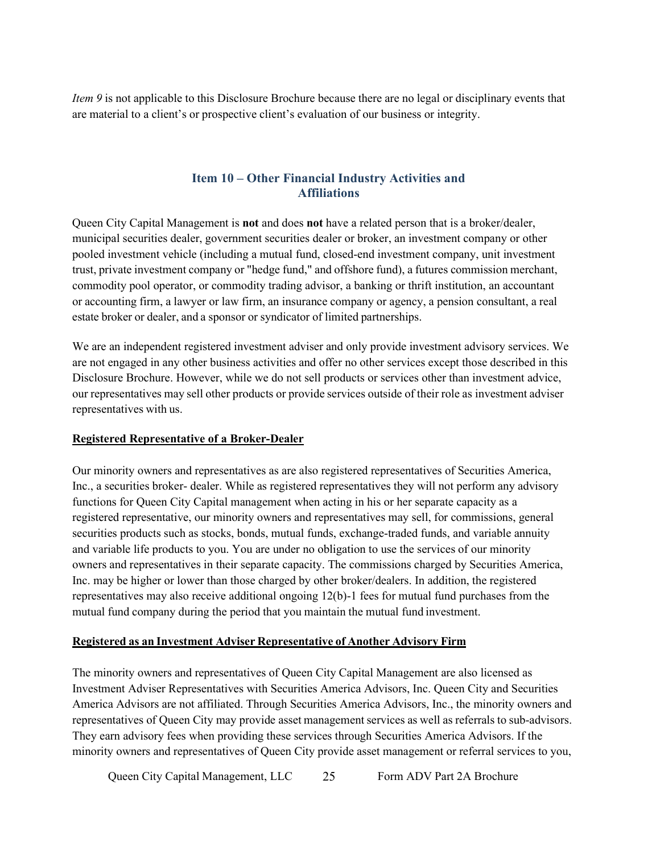*Item 9* is not applicable to this Disclosure Brochure because there are no legal or disciplinary events that are material to a client's or prospective client's evaluation of our business or integrity.

# **Item 10 – Other Financial Industry Activities and Affiliations**

<span id="page-24-0"></span>Queen City Capital Management is **not** and does **not** have a related person that is a broker/dealer, municipal securities dealer, government securities dealer or broker, an investment company or other pooled investment vehicle (including a mutual fund, closed-end investment company, unit investment trust, private investment company or "hedge fund," and offshore fund), a futures commission merchant, commodity pool operator, or commodity trading advisor, a banking or thrift institution, an accountant or accounting firm, a lawyer or law firm, an insurance company or agency, a pension consultant, a real estate broker or dealer, and a sponsor or syndicator of limited partnerships.

We are an independent registered investment adviser and only provide investment advisory services. We are not engaged in any other business activities and offer no other services except those described in this Disclosure Brochure. However, while we do not sell products or services other than investment advice, our representatives may sell other products or provide services outside of their role as investment adviser representatives with us.

### **Registered Representative of a Broker-Dealer**

Our minority owners and representatives as are also registered representatives of Securities America, Inc., a securities broker- dealer. While as registered representatives they will not perform any advisory functions for Queen City Capital management when acting in his or her separate capacity as a registered representative, our minority owners and representatives may sell, for commissions, general securities products such as stocks, bonds, mutual funds, exchange-traded funds, and variable annuity and variable life products to you. You are under no obligation to use the services of our minority owners and representatives in their separate capacity. The commissions charged by Securities America, Inc. may be higher or lower than those charged by other broker/dealers. In addition, the registered representatives may also receive additional ongoing 12(b)-1 fees for mutual fund purchases from the mutual fund company during the period that you maintain the mutual fund investment.

#### **Registered as an Investment Adviser Representative of Another Advisory Firm**

The minority owners and representatives of Queen City Capital Management are also licensed as Investment Adviser Representatives with Securities America Advisors, Inc. Queen City and Securities America Advisors are not affiliated. Through Securities America Advisors, Inc., the minority owners and representatives of Queen City may provide asset management services as well as referrals to sub-advisors. They earn advisory fees when providing these services through Securities America Advisors. If the minority owners and representatives of Queen City provide asset management or referral services to you,

Queen City Capital Management, LLC 25 Form ADV Part 2A Brochure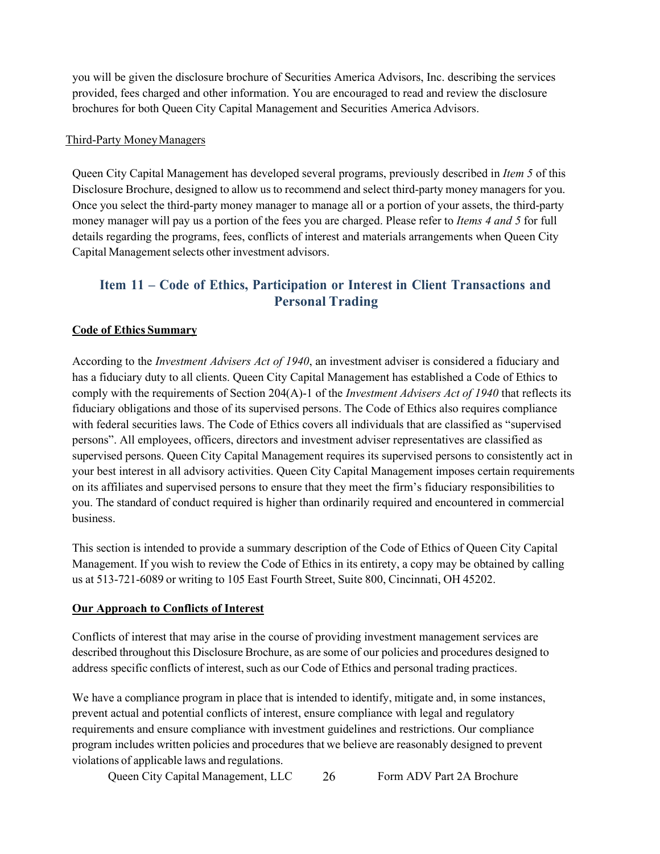you will be given the disclosure brochure of Securities America Advisors, Inc. describing the services provided, fees charged and other information. You are encouraged to read and review the disclosure brochures for both Queen City Capital Management and Securities America Advisors.

### Third-Party MoneyManagers

Queen City Capital Management has developed several programs, previously described in *Item 5* of this Disclosure Brochure, designed to allow us to recommend and select third-party money managers for you. Once you select the third-party money manager to manage all or a portion of your assets, the third-party money manager will pay us a portion of the fees you are charged. Please refer to *Items 4 and 5* for full details regarding the programs, fees, conflicts of interest and materials arrangements when Queen City Capital Management selects other investment advisors.

# <span id="page-25-0"></span>**Item 11 – Code of Ethics, Participation or Interest in Client Transactions and Personal Trading**

### **Code of Ethics Summary**

According to the *Investment Advisers Act of 1940*, an investment adviser is considered a fiduciary and has a fiduciary duty to all clients. Queen City Capital Management has established a Code of Ethics to comply with the requirements of Section 204(A)-1 of the *Investment Advisers Act of 1940* that reflects its fiduciary obligations and those of its supervised persons. The Code of Ethics also requires compliance with federal securities laws. The Code of Ethics covers all individuals that are classified as "supervised persons". All employees, officers, directors and investment adviser representatives are classified as supervised persons. Queen City Capital Management requires its supervised persons to consistently act in your best interest in all advisory activities. Queen City Capital Management imposes certain requirements on its affiliates and supervised persons to ensure that they meet the firm's fiduciary responsibilities to you. The standard of conduct required is higher than ordinarily required and encountered in commercial business.

This section is intended to provide a summary description of the Code of Ethics of Queen City Capital Management. If you wish to review the Code of Ethics in its entirety, a copy may be obtained by calling us at 513-721-6089 or writing to 105 East Fourth Street, Suite 800, Cincinnati, OH 45202.

### **Our Approach to Conflicts of Interest**

Conflicts of interest that may arise in the course of providing investment management services are described throughout this Disclosure Brochure, as are some of our policies and procedures designed to address specific conflicts of interest, such as our Code of Ethics and personal trading practices.

We have a compliance program in place that is intended to identify, mitigate and, in some instances, prevent actual and potential conflicts of interest, ensure compliance with legal and regulatory requirements and ensure compliance with investment guidelines and restrictions. Our compliance program includes written policies and procedures that we believe are reasonably designed to prevent violations of applicable laws and regulations.

Queen City Capital Management, LLC 26 Form ADV Part 2A Brochure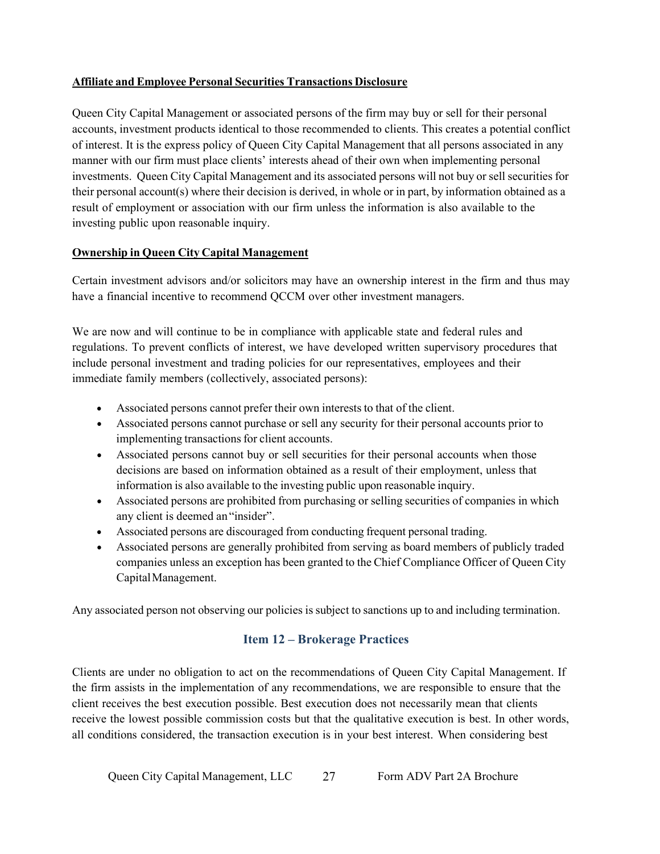### **Affiliate and Employee Personal Securities Transactions Disclosure**

Queen City Capital Management or associated persons of the firm may buy or sell for their personal accounts, investment products identical to those recommended to clients. This creates a potential conflict of interest. It is the express policy of Queen City Capital Management that all persons associated in any manner with our firm must place clients' interests ahead of their own when implementing personal investments. Queen City Capital Management and its associated persons will not buy or sell securities for their personal account(s) where their decision is derived, in whole or in part, by information obtained as a result of employment or association with our firm unless the information is also available to the investing public upon reasonable inquiry.

### **Ownership in Queen City Capital Management**

Certain investment advisors and/or solicitors may have an ownership interest in the firm and thus may have a financial incentive to recommend QCCM over other investment managers.

We are now and will continue to be in compliance with applicable state and federal rules and regulations. To prevent conflicts of interest, we have developed written supervisory procedures that include personal investment and trading policies for our representatives, employees and their immediate family members (collectively, associated persons):

- Associated persons cannot prefer their own interests to that of the client.
- Associated persons cannot purchase or sell any security for their personal accounts prior to implementing transactions for client accounts.
- Associated persons cannot buy or sell securities for their personal accounts when those decisions are based on information obtained as a result of their employment, unless that information is also available to the investing public upon reasonable inquiry.
- Associated persons are prohibited from purchasing or selling securities of companies in which any client is deemed an"insider".
- Associated persons are discouraged from conducting frequent personal trading.
- Associated persons are generally prohibited from serving as board members of publicly traded companies unless an exception has been granted to the Chief Compliance Officer of Queen City CapitalManagement.

<span id="page-26-0"></span>Any associated person not observing our policies is subject to sanctions up to and including termination.

### **Item 12 – Brokerage Practices**

Clients are under no obligation to act on the recommendations of Queen City Capital Management. If the firm assists in the implementation of any recommendations, we are responsible to ensure that the client receives the best execution possible. Best execution does not necessarily mean that clients receive the lowest possible commission costs but that the qualitative execution is best. In other words, all conditions considered, the transaction execution is in your best interest. When considering best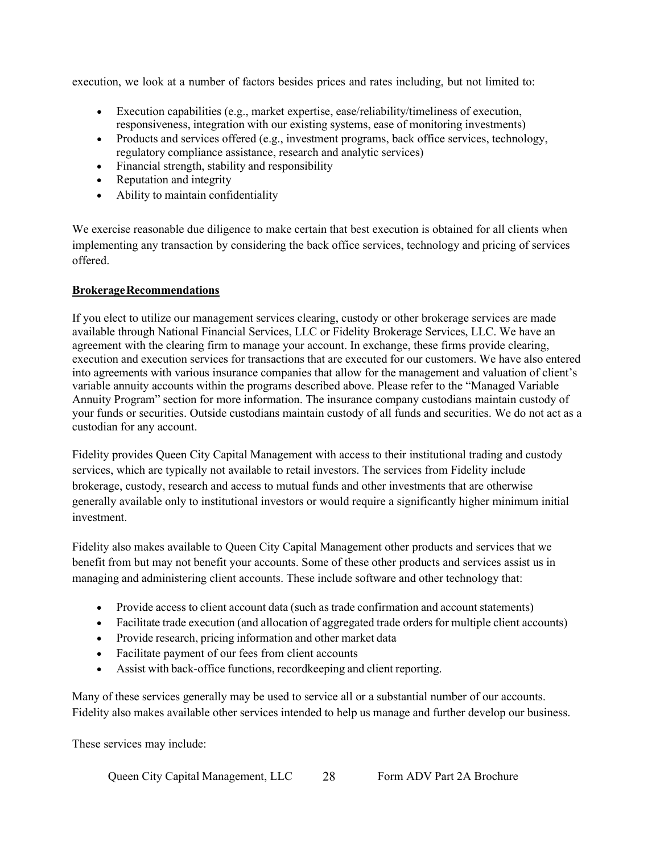execution, we look at a number of factors besides prices and rates including, but not limited to:

- Execution capabilities (e.g., market expertise, ease/reliability/timeliness of execution, responsiveness, integration with our existing systems, ease of monitoring investments)
- Products and services offered (e.g., investment programs, back office services, technology, regulatory compliance assistance, research and analytic services)
- Financial strength, stability and responsibility
- Reputation and integrity
- Ability to maintain confidentiality

We exercise reasonable due diligence to make certain that best execution is obtained for all clients when implementing any transaction by considering the back office services, technology and pricing of services offered.

### **BrokerageRecommendations**

If you elect to utilize our management services clearing, custody or other brokerage services are made available through National Financial Services, LLC or Fidelity Brokerage Services, LLC. We have an agreement with the clearing firm to manage your account. In exchange, these firms provide clearing, execution and execution services for transactions that are executed for our customers. We have also entered into agreements with various insurance companies that allow for the management and valuation of client's variable annuity accounts within the programs described above. Please refer to the "Managed Variable Annuity Program" section for more information. The insurance company custodians maintain custody of your funds or securities. Outside custodians maintain custody of all funds and securities. We do not act as a custodian for any account.

Fidelity provides Queen City Capital Management with access to their institutional trading and custody services, which are typically not available to retail investors. The services from Fidelity include brokerage, custody, research and access to mutual funds and other investments that are otherwise generally available only to institutional investors or would require a significantly higher minimum initial investment.

Fidelity also makes available to Queen City Capital Management other products and services that we benefit from but may not benefit your accounts. Some of these other products and services assist us in managing and administering client accounts. These include software and other technology that:

- Provide access to client account data (such as trade confirmation and account statements)
- Facilitate trade execution (and allocation of aggregated trade orders for multiple client accounts)
- Provide research, pricing information and other market data
- Facilitate payment of our fees from client accounts
- Assist with back-office functions, record keeping and client reporting.

Many of these services generally may be used to service all or a substantial number of our accounts. Fidelity also makes available other services intended to help us manage and further develop our business.

These services may include: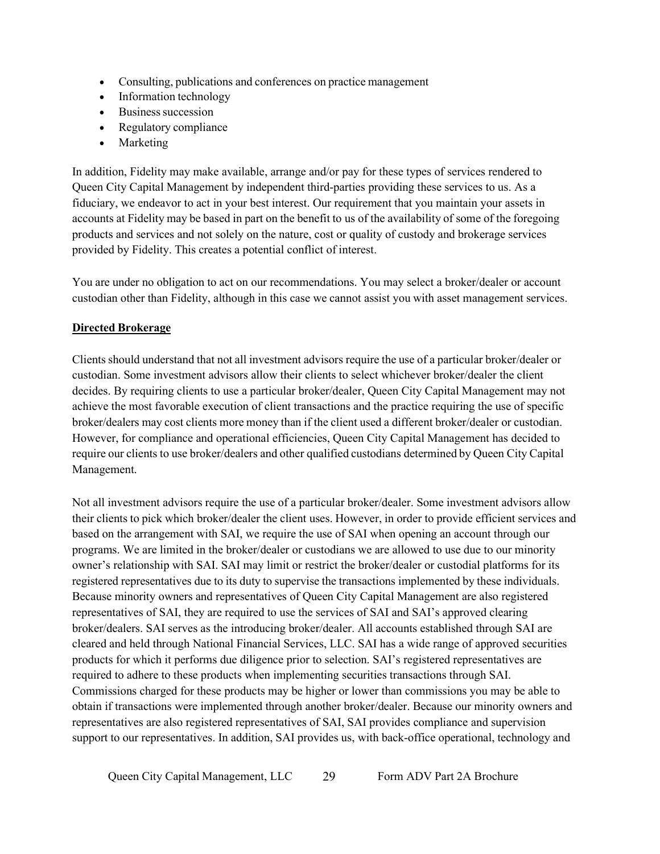- Consulting, publications and conferences on practice management
- Information technology
- Business succession
- Regulatory compliance
- Marketing

In addition, Fidelity may make available, arrange and/or pay for these types of services rendered to Queen City Capital Management by independent third-parties providing these services to us. As a fiduciary, we endeavor to act in your best interest. Our requirement that you maintain your assets in accounts at Fidelity may be based in part on the benefit to us of the availability of some of the foregoing products and services and not solely on the nature, cost or quality of custody and brokerage services provided by Fidelity. This creates a potential conflict of interest.

You are under no obligation to act on our recommendations. You may select a broker/dealer or account custodian other than Fidelity, although in this case we cannot assist you with asset management services.

### **Directed Brokerage**

Clients should understand that not all investment advisors require the use of a particular broker/dealer or custodian. Some investment advisors allow their clients to select whichever broker/dealer the client decides. By requiring clients to use a particular broker/dealer, Queen City Capital Management may not achieve the most favorable execution of client transactions and the practice requiring the use of specific broker/dealers may cost clients more money than if the client used a different broker/dealer or custodian. However, for compliance and operational efficiencies, Queen City Capital Management has decided to require our clients to use broker/dealers and other qualified custodians determined by Queen City Capital Management.

Not all investment advisors require the use of a particular broker/dealer. Some investment advisors allow their clients to pick which broker/dealer the client uses. However, in order to provide efficient services and based on the arrangement with SAI, we require the use of SAI when opening an account through our programs. We are limited in the broker/dealer or custodians we are allowed to use due to our minority owner's relationship with SAI. SAI may limit or restrict the broker/dealer or custodial platforms for its registered representatives due to its duty to supervise the transactions implemented by these individuals. Because minority owners and representatives of Queen City Capital Management are also registered representatives of SAI, they are required to use the services of SAI and SAI's approved clearing broker/dealers. SAI serves as the introducing broker/dealer. All accounts established through SAI are cleared and held through National Financial Services, LLC. SAI has a wide range of approved securities products for which it performs due diligence prior to selection. SAI's registered representatives are required to adhere to these products when implementing securities transactions through SAI. Commissions charged for these products may be higher or lower than commissions you may be able to obtain if transactions were implemented through another broker/dealer. Because our minority owners and representatives are also registered representatives of SAI, SAI provides compliance and supervision support to our representatives. In addition, SAI provides us, with back-office operational, technology and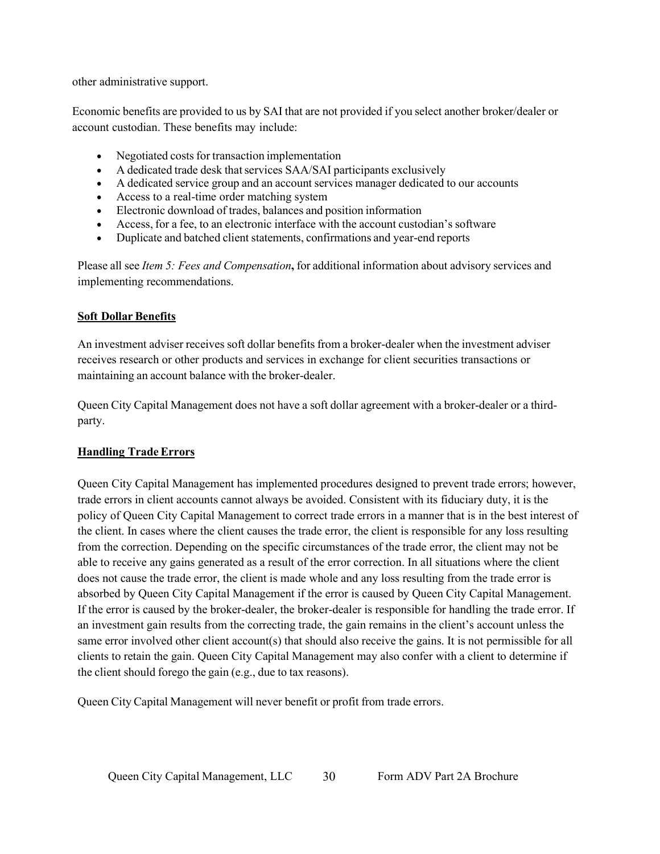other administrative support.

Economic benefits are provided to us by SAI that are not provided if you select another broker/dealer or account custodian. These benefits may include:

- Negotiated costs for transaction implementation
- A dedicated trade desk that services SAA/SAI participants exclusively
- A dedicated service group and an account services manager dedicated to our accounts
- Access to a real-time order matching system
- Electronic download of trades, balances and position information
- Access, for a fee, to an electronic interface with the account custodian's software
- Duplicate and batched client statements, confirmations and year-end reports

Please all see *Item 5: Fees and Compensation***,** for additional information about advisory services and implementing recommendations.

### **Soft Dollar Benefits**

An investment adviser receives soft dollar benefits from a broker-dealer when the investment adviser receives research or other products and services in exchange for client securities transactions or maintaining an account balance with the broker-dealer.

Queen City Capital Management does not have a soft dollar agreement with a broker-dealer or a thirdparty.

# **Handling TradeErrors**

Queen City Capital Management has implemented procedures designed to prevent trade errors; however, trade errors in client accounts cannot always be avoided. Consistent with its fiduciary duty, it is the policy of Queen City Capital Management to correct trade errors in a manner that is in the best interest of the client. In cases where the client causes the trade error, the client is responsible for any loss resulting from the correction. Depending on the specific circumstances of the trade error, the client may not be able to receive any gains generated as a result of the error correction. In all situations where the client does not cause the trade error, the client is made whole and any loss resulting from the trade error is absorbed by Queen City Capital Management if the error is caused by Queen City Capital Management. If the error is caused by the broker-dealer, the broker-dealer is responsible for handling the trade error. If an investment gain results from the correcting trade, the gain remains in the client's account unless the same error involved other client account(s) that should also receive the gains. It is not permissible for all clients to retain the gain. Queen City Capital Management may also confer with a client to determine if the client should forego the gain (e.g., due to tax reasons).

Queen City Capital Management will never benefit or profit from trade errors.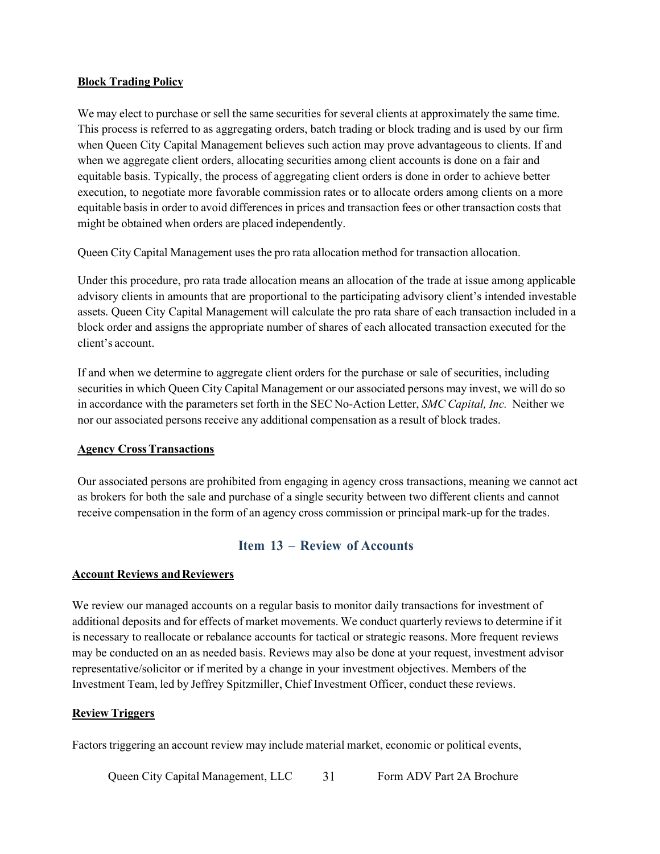#### **Block Trading Policy**

We may elect to purchase or sell the same securities for several clients at approximately the same time. This process is referred to as aggregating orders, batch trading or block trading and is used by our firm when Queen City Capital Management believes such action may prove advantageous to clients. If and when we aggregate client orders, allocating securities among client accounts is done on a fair and equitable basis. Typically, the process of aggregating client orders is done in order to achieve better execution, to negotiate more favorable commission rates or to allocate orders among clients on a more equitable basis in order to avoid differences in prices and transaction fees or other transaction costs that might be obtained when orders are placed independently.

Queen City Capital Management uses the pro rata allocation method for transaction allocation.

Under this procedure, pro rata trade allocation means an allocation of the trade at issue among applicable advisory clients in amounts that are proportional to the participating advisory client's intended investable assets. Queen City Capital Management will calculate the pro rata share of each transaction included in a block order and assigns the appropriate number of shares of each allocated transaction executed for the client's account.

If and when we determine to aggregate client orders for the purchase or sale of securities, including securities in which Queen City Capital Management or our associated persons may invest, we will do so in accordance with the parameters set forth in the SEC No-Action Letter, *SMC Capital, Inc.* Neither we nor our associated persons receive any additional compensation as a result of block trades.

#### **Agency CrossTransactions**

Our associated persons are prohibited from engaging in agency cross transactions, meaning we cannot act as brokers for both the sale and purchase of a single security between two different clients and cannot receive compensation in the form of an agency cross commission or principal mark-up for the trades.

### **Item 13 – Review of Accounts**

#### <span id="page-30-0"></span>**Account Reviews andReviewers**

We review our managed accounts on a regular basis to monitor daily transactions for investment of additional deposits and for effects of market movements. We conduct quarterly reviews to determine if it is necessary to reallocate or rebalance accounts for tactical or strategic reasons. More frequent reviews may be conducted on an as needed basis. Reviews may also be done at your request, investment advisor representative/solicitor or if merited by a change in your investment objectives. Members of the Investment Team, led by Jeffrey Spitzmiller, Chief Investment Officer, conduct these reviews.

#### **Review Triggers**

Factors triggering an account review may include material market, economic or political events,

Queen City Capital Management, LLC 31 Form ADV Part 2A Brochure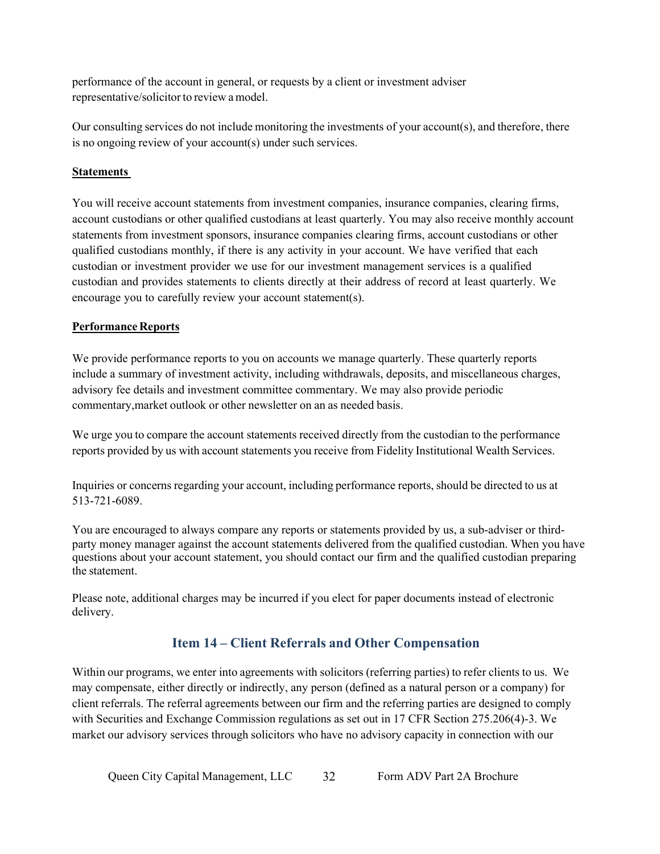performance of the account in general, or requests by a client or investment adviser representative/solicitor to review a model.

Our consulting services do not include monitoring the investments of your account(s), and therefore, there is no ongoing review of your account(s) under such services.

### **Statements**

You will receive account statements from investment companies, insurance companies, clearing firms, account custodians or other qualified custodians at least quarterly. You may also receive monthly account statements from investment sponsors, insurance companies clearing firms, account custodians or other qualified custodians monthly, if there is any activity in your account. We have verified that each custodian or investment provider we use for our investment management services is a qualified custodian and provides statements to clients directly at their address of record at least quarterly. We encourage you to carefully review your account statement(s).

### **Performance Reports**

We provide performance reports to you on accounts we manage quarterly. These quarterly reports include a summary of investment activity, including withdrawals, deposits, and miscellaneous charges, advisory fee details and investment committee commentary. We may also provide periodic commentary,market outlook or other newsletter on an as needed basis.

We urge you to compare the account statements received directly from the custodian to the performance reports provided by us with account statements you receive from Fidelity Institutional Wealth Services.

Inquiries or concerns regarding your account, including performance reports, should be directed to us at 513-721-6089.

You are encouraged to always compare any reports or statements provided by us, a sub-adviser or thirdparty money manager against the account statements delivered from the qualified custodian. When you have questions about your account statement, you should contact our firm and the qualified custodian preparing the statement.

Please note, additional charges may be incurred if you elect for paper documents instead of electronic delivery.

# **Item 14 – Client Referrals and Other Compensation**

<span id="page-31-0"></span>Within our programs, we enter into agreements with solicitors (referring parties) to refer clients to us. We may compensate, either directly or indirectly, any person (defined as a natural person or a company) for client referrals. The referral agreements between our firm and the referring parties are designed to comply with Securities and Exchange Commission regulations as set out in 17 CFR Section 275.206(4)-3. We market our advisory services through solicitors who have no advisory capacity in connection with our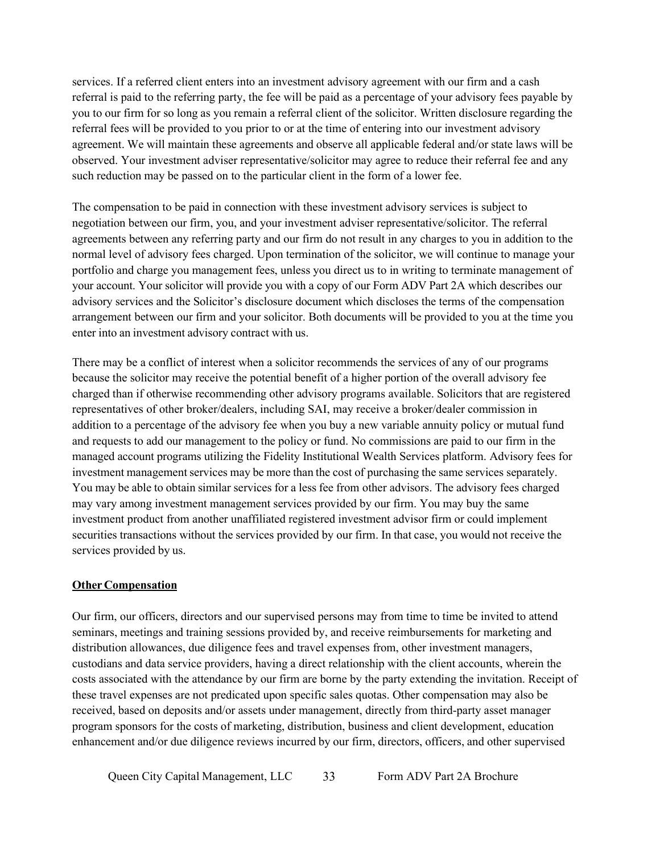services. If a referred client enters into an investment advisory agreement with our firm and a cash referral is paid to the referring party, the fee will be paid as a percentage of your advisory fees payable by you to our firm for so long as you remain a referral client of the solicitor. Written disclosure regarding the referral fees will be provided to you prior to or at the time of entering into our investment advisory agreement. We will maintain these agreements and observe all applicable federal and/or state laws will be observed. Your investment adviser representative/solicitor may agree to reduce their referral fee and any such reduction may be passed on to the particular client in the form of a lower fee.

The compensation to be paid in connection with these investment advisory services is subject to negotiation between our firm, you, and your investment adviser representative/solicitor. The referral agreements between any referring party and our firm do not result in any charges to you in addition to the normal level of advisory fees charged. Upon termination of the solicitor, we will continue to manage your portfolio and charge you management fees, unless you direct us to in writing to terminate management of your account. Your solicitor will provide you with a copy of our Form ADV Part 2A which describes our advisory services and the Solicitor's disclosure document which discloses the terms of the compensation arrangement between our firm and your solicitor. Both documents will be provided to you at the time you enter into an investment advisory contract with us.

There may be a conflict of interest when a solicitor recommends the services of any of our programs because the solicitor may receive the potential benefit of a higher portion of the overall advisory fee charged than if otherwise recommending other advisory programs available. Solicitors that are registered representatives of other broker/dealers, including SAI, may receive a broker/dealer commission in addition to a percentage of the advisory fee when you buy a new variable annuity policy or mutual fund and requests to add our management to the policy or fund. No commissions are paid to our firm in the managed account programs utilizing the Fidelity Institutional Wealth Services platform. Advisory fees for investment management services may be more than the cost of purchasing the same services separately. You may be able to obtain similar services for a less fee from other advisors. The advisory fees charged may vary among investment management services provided by our firm. You may buy the same investment product from another unaffiliated registered investment advisor firm or could implement securities transactions without the services provided by our firm. In that case, you would not receive the services provided by us.

#### **Other Compensation**

Our firm, our officers, directors and our supervised persons may from time to time be invited to attend seminars, meetings and training sessions provided by, and receive reimbursements for marketing and distribution allowances, due diligence fees and travel expenses from, other investment managers, custodians and data service providers, having a direct relationship with the client accounts, wherein the costs associated with the attendance by our firm are borne by the party extending the invitation. Receipt of these travel expenses are not predicated upon specific sales quotas. Other compensation may also be received, based on deposits and/or assets under management, directly from third-party asset manager program sponsors for the costs of marketing, distribution, business and client development, education enhancement and/or due diligence reviews incurred by our firm, directors, officers, and other supervised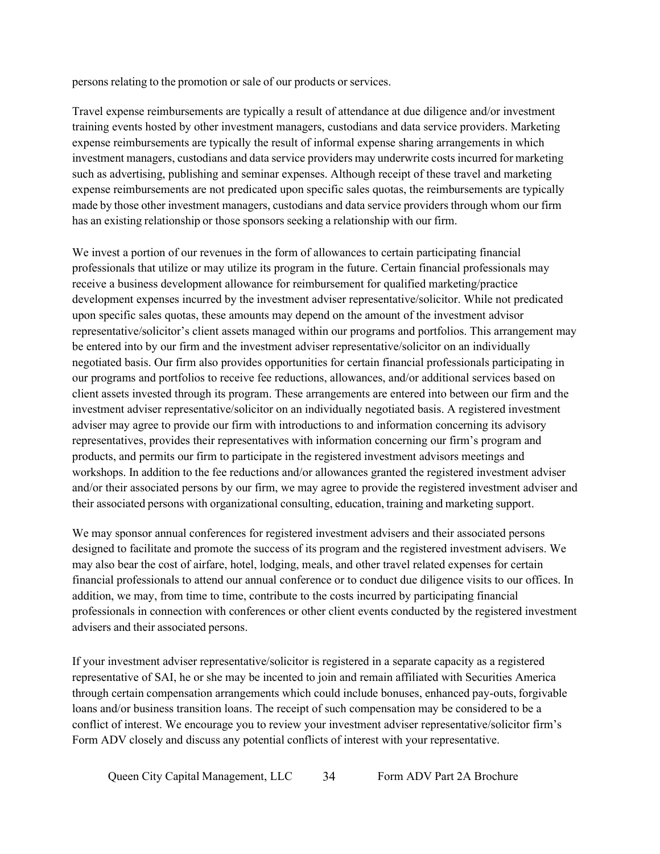persons relating to the promotion or sale of our products or services.

Travel expense reimbursements are typically a result of attendance at due diligence and/or investment training events hosted by other investment managers, custodians and data service providers. Marketing expense reimbursements are typically the result of informal expense sharing arrangements in which investment managers, custodians and data service providers may underwrite costs incurred for marketing such as advertising, publishing and seminar expenses. Although receipt of these travel and marketing expense reimbursements are not predicated upon specific sales quotas, the reimbursements are typically made by those other investment managers, custodians and data service providers through whom our firm has an existing relationship or those sponsors seeking a relationship with our firm.

We invest a portion of our revenues in the form of allowances to certain participating financial professionals that utilize or may utilize its program in the future. Certain financial professionals may receive a business development allowance for reimbursement for qualified marketing/practice development expenses incurred by the investment adviser representative/solicitor. While not predicated upon specific sales quotas, these amounts may depend on the amount of the investment advisor representative/solicitor's client assets managed within our programs and portfolios. This arrangement may be entered into by our firm and the investment adviser representative/solicitor on an individually negotiated basis. Our firm also provides opportunities for certain financial professionals participating in our programs and portfolios to receive fee reductions, allowances, and/or additional services based on client assets invested through its program. These arrangements are entered into between our firm and the investment adviser representative/solicitor on an individually negotiated basis. A registered investment adviser may agree to provide our firm with introductions to and information concerning its advisory representatives, provides their representatives with information concerning our firm's program and products, and permits our firm to participate in the registered investment advisors meetings and workshops. In addition to the fee reductions and/or allowances granted the registered investment adviser and/or their associated persons by our firm, we may agree to provide the registered investment adviser and their associated persons with organizational consulting, education, training and marketing support.

We may sponsor annual conferences for registered investment advisers and their associated persons designed to facilitate and promote the success of its program and the registered investment advisers. We may also bear the cost of airfare, hotel, lodging, meals, and other travel related expenses for certain financial professionals to attend our annual conference or to conduct due diligence visits to our offices. In addition, we may, from time to time, contribute to the costs incurred by participating financial professionals in connection with conferences or other client events conducted by the registered investment advisers and their associated persons.

If your investment adviser representative/solicitor is registered in a separate capacity as a registered representative of SAI, he or she may be incented to join and remain affiliated with Securities America through certain compensation arrangements which could include bonuses, enhanced pay-outs, forgivable loans and/or business transition loans. The receipt of such compensation may be considered to be a conflict of interest. We encourage you to review your investment adviser representative/solicitor firm's Form ADV closely and discuss any potential conflicts of interest with your representative.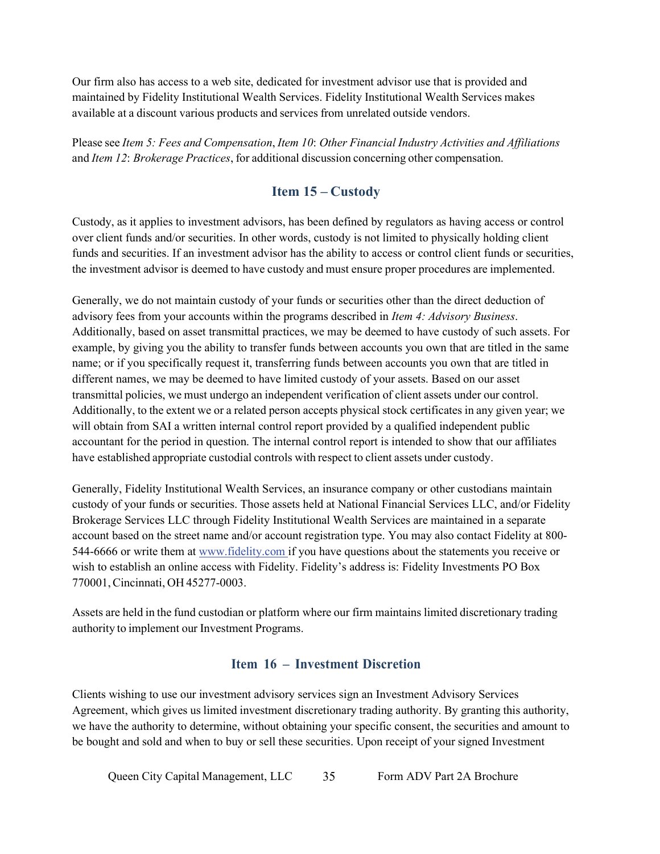Our firm also has access to a web site, dedicated for investment advisor use that is provided and maintained by Fidelity Institutional Wealth Services. Fidelity Institutional Wealth Services makes available at a discount various products and services from unrelated outside vendors.

Please see *Item 5: Fees and Compensation*, *Item 10*: *Other Financial Industry Activities and Affiliations* and *Item 12*: *Brokerage Practices*, for additional discussion concerning other compensation.

# **Item 15 – Custody**

<span id="page-34-0"></span>Custody, as it applies to investment advisors, has been defined by regulators as having access or control over client funds and/or securities. In other words, custody is not limited to physically holding client funds and securities. If an investment advisor has the ability to access or control client funds or securities, the investment advisor is deemed to have custody and must ensure proper procedures are implemented.

Generally, we do not maintain custody of your funds or securities other than the direct deduction of advisory fees from your accounts within the programs described in *Item 4: Advisory Business*. Additionally, based on asset transmittal practices, we may be deemed to have custody of such assets. For example, by giving you the ability to transfer funds between accounts you own that are titled in the same name; or if you specifically request it, transferring funds between accounts you own that are titled in different names, we may be deemed to have limited custody of your assets. Based on our asset transmittal policies, we must undergo an independent verification of client assets under our control. Additionally, to the extent we or a related person accepts physical stock certificates in any given year; we will obtain from SAI a written internal control report provided by a qualified independent public accountant for the period in question. The internal control report is intended to show that our affiliates have established appropriate custodial controls with respect to client assets under custody.

Generally, Fidelity Institutional Wealth Services, an insurance company or other custodians maintain custody of your funds or securities. Those assets held at National Financial Services LLC, and/or Fidelity Brokerage Services LLC through Fidelity Institutional Wealth Services are maintained in a separate account based on the street name and/or account registration type. You may also contact Fidelity at 800 544-6666 or write them at [www.fidelity.com if y](http://www.fidelity.comif/)ou have questions about the statements you receive or wish to establish an online access with Fidelity. Fidelity's address is: Fidelity Investments PO Box 770001,Cincinnati, OH 45277-0003.

Assets are held in the fund custodian or platform where our firm maintains limited discretionary trading authority to implement our Investment Programs.

### **Item 16 – Investment Discretion**

<span id="page-34-1"></span>Clients wishing to use our investment advisory services sign an Investment Advisory Services Agreement, which gives us limited investment discretionary trading authority. By granting this authority, we have the authority to determine, without obtaining your specific consent, the securities and amount to be bought and sold and when to buy or sell these securities. Upon receipt of your signed Investment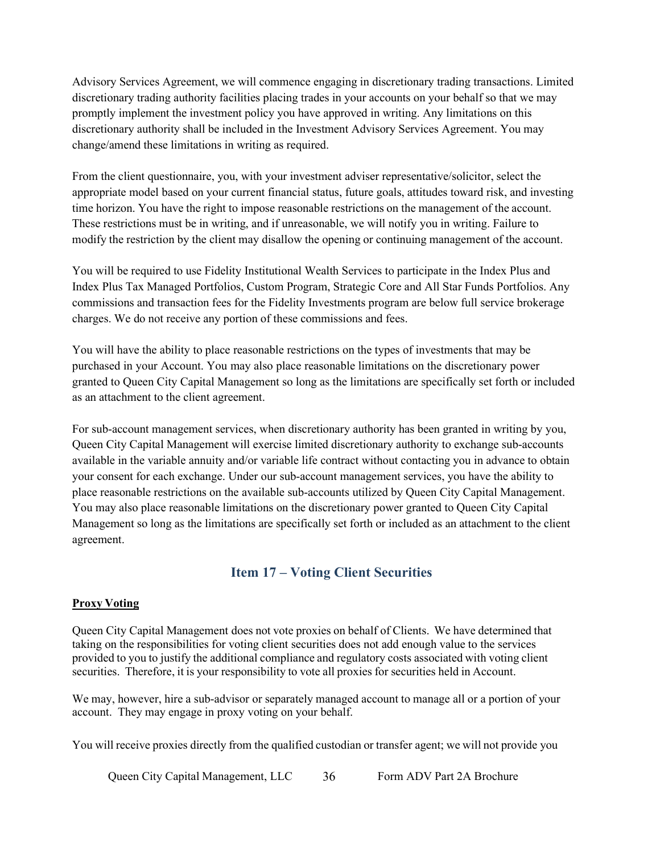Advisory Services Agreement, we will commence engaging in discretionary trading transactions. Limited discretionary trading authority facilities placing trades in your accounts on your behalf so that we may promptly implement the investment policy you have approved in writing. Any limitations on this discretionary authority shall be included in the Investment Advisory Services Agreement. You may change/amend these limitations in writing as required.

From the client questionnaire, you, with your investment adviser representative/solicitor, select the appropriate model based on your current financial status, future goals, attitudes toward risk, and investing time horizon. You have the right to impose reasonable restrictions on the management of the account. These restrictions must be in writing, and if unreasonable, we will notify you in writing. Failure to modify the restriction by the client may disallow the opening or continuing management of the account.

You will be required to use Fidelity Institutional Wealth Services to participate in the Index Plus and Index Plus Tax Managed Portfolios, Custom Program, Strategic Core and All Star Funds Portfolios. Any commissions and transaction fees for the Fidelity Investments program are below full service brokerage charges. We do not receive any portion of these commissions and fees.

You will have the ability to place reasonable restrictions on the types of investments that may be purchased in your Account. You may also place reasonable limitations on the discretionary power granted to Queen City Capital Management so long as the limitations are specifically set forth or included as an attachment to the client agreement.

For sub-account management services, when discretionary authority has been granted in writing by you, Queen City Capital Management will exercise limited discretionary authority to exchange sub-accounts available in the variable annuity and/or variable life contract without contacting you in advance to obtain your consent for each exchange. Under our sub-account management services, you have the ability to place reasonable restrictions on the available sub-accounts utilized by Queen City Capital Management. You may also place reasonable limitations on the discretionary power granted to Queen City Capital Management so long as the limitations are specifically set forth or included as an attachment to the client agreement.

# **Item 17 – Voting Client Securities**

#### <span id="page-35-0"></span>**Proxy Voting**

Queen City Capital Management does not vote proxies on behalf of Clients. We have determined that taking on the responsibilities for voting client securities does not add enough value to the services provided to you to justify the additional compliance and regulatory costs associated with voting client securities. Therefore, it is your responsibility to vote all proxies for securities held in Account.

We may, however, hire a sub-advisor or separately managed account to manage all or a portion of your account. They may engage in proxy voting on your behalf.

You will receive proxies directly from the qualified custodian or transfer agent; we will not provide you

Queen City Capital Management, LLC 36 Form ADV Part 2A Brochure